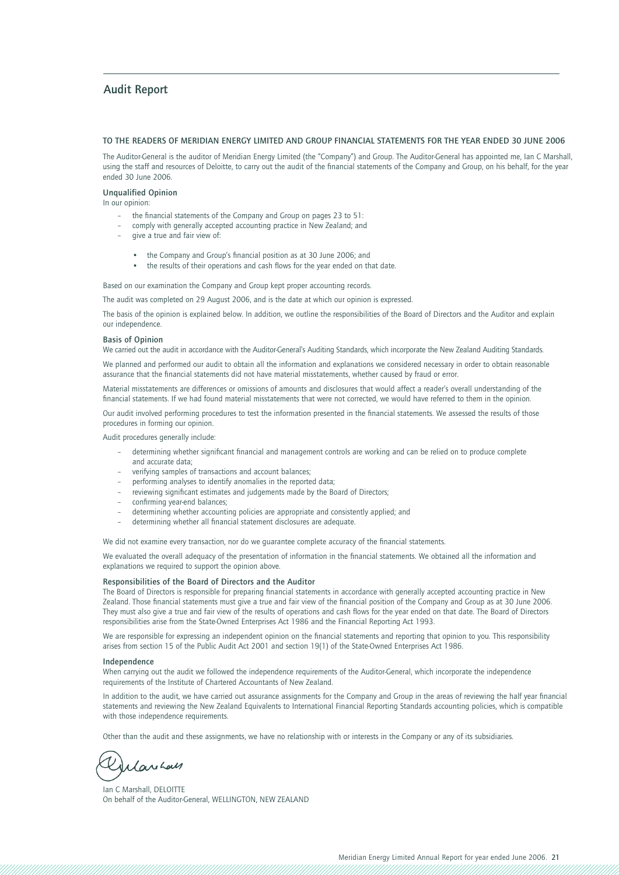### **Audit Report**

#### **TO THE READERS OF MERIDIAN ENERGY LIMITED AND GROUP FINANCIAL STATEMENTS FOR THE YEAR ENDED 30 JUNE 2006**

The Auditor-General is the auditor of Meridian Energy Limited (the "Company") and Group. The Auditor-General has appointed me, Ian C Marshall, using the staff and resources of Deloitte, to carry out the audit of the financial statements of the Company and Group, on his behalf, for the year ended 30 June 2006.

#### **Unqualified Opinion**

In our opinion:

- the financial statements of the Company and Group on pages 23 to 51:
- comply with generally accepted accounting practice in New Zealand; and
- give a true and fair view of:
	- the Company and Group's financial position as at 30 June 2006; and
	- the results of their operations and cash flows for the year ended on that date.

Based on our examination the Company and Group kept proper accounting records.

The audit was completed on 29 August 2006, and is the date at which our opinion is expressed.

The basis of the opinion is explained below. In addition, we outline the responsibilities of the Board of Directors and the Auditor and explain our independence.

#### **Basis of Opinion**

We carried out the audit in accordance with the Auditor-General's Auditing Standards, which incorporate the New Zealand Auditing Standards.

We planned and performed our audit to obtain all the information and explanations we considered necessary in order to obtain reasonable assurance that the financial statements did not have material misstatements, whether caused by fraud or error.

Material misstatements are differences or omissions of amounts and disclosures that would affect a reader's overall understanding of the financial statements. If we had found material misstatements that were not corrected, we would have referred to them in the opinion.

Our audit involved performing procedures to test the information presented in the financial statements. We assessed the results of those procedures in forming our opinion.

Audit procedures generally include:

- determining whether significant financial and management controls are working and can be relied on to produce complete and accurate data;
- verifying samples of transactions and account balances;
- performing analyses to identify anomalies in the reported data;
- reviewing significant estimates and judgements made by the Board of Directors;
- confirming year-end balances:
- determining whether accounting policies are appropriate and consistently applied; and
- determining whether all financial statement disclosures are adequate.

We did not examine every transaction, nor do we guarantee complete accuracy of the financial statements.

We evaluated the overall adequacy of the presentation of information in the financial statements. We obtained all the information and explanations we required to support the opinion above.

#### **Responsibilities of the Board of Directors and the Auditor**

The Board of Directors is responsible for preparing financial statements in accordance with generally accepted accounting practice in New Zealand. Those financial statements must give a true and fair view of the financial position of the Company and Group as at 30 June 2006. They must also give a true and fair view of the results of operations and cash flows for the year ended on that date. The Board of Directors responsibilities arise from the State-Owned Enterprises Act 1986 and the Financial Reporting Act 1993.

We are responsible for expressing an independent opinion on the financial statements and reporting that opinion to you. This responsibility arises from section 15 of the Public Audit Act 2001 and section 19(1) of the State-Owned Enterprises Act 1986.

#### **Independence**

When carrying out the audit we followed the independence requirements of the Auditor-General, which incorporate the independence requirements of the Institute of Chartered Accountants of New Zealand.

In addition to the audit, we have carried out assurance assignments for the Company and Group in the areas of reviewing the half year financial statements and reviewing the New Zealand Equivalents to International Financial Reporting Standards accounting policies, which is compatible with those independence requirements.

Other than the audit and these assignments, we have no relationship with or interests in the Company or any of its subsidiaries.

Silarihan

Ian C Marshall, DELOITTE On behalf of the Auditor-General, WELLINGTON, NEW ZEALAND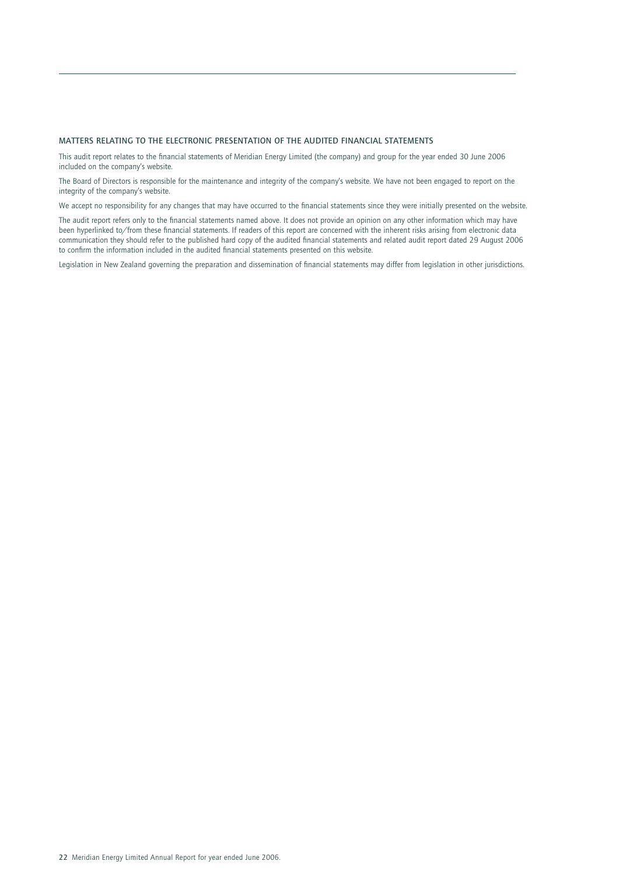### **MATTERS RELATING TO THE ELECTRONIC PRESENTATION OF THE AUDITED FINANCIAL STATEMENTS**

This audit report relates to the financial statements of Meridian Energy Limited (the company) and group for the year ended 30 June 2006 included on the company's website.

The Board of Directors is responsible for the maintenance and integrity of the company's website. We have not been engaged to report on the integrity of the company's website.

We accept no responsibility for any changes that may have occurred to the financial statements since they were initially presented on the website.

The audit report refers only to the financial statements named above. It does not provide an opinion on any other information which may have been hyperlinked to/from these financial statements. If readers of this report are concerned with the inherent risks arising from electronic data communication they should refer to the published hard copy of the audited financial statements and related audit report dated 29 August 2006 to confirm the information included in the audited financial statements presented on this website.

Legislation in New Zealand governing the preparation and dissemination of financial statements may differ from legislation in other jurisdictions.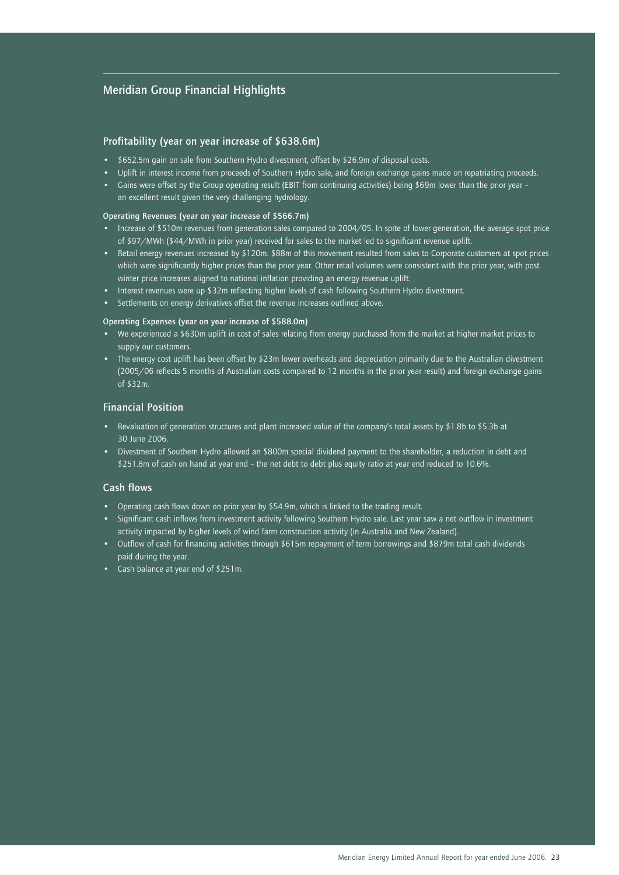### **Meridian Group Financial Highlights**

### **Profitability (year on year increase of \$638.6m)**

- \$652.5m gain on sale from Southern Hydro divestment, offset by \$26.9m of disposal costs.
- Uplift in interest income from proceeds of Southern Hydro sale, and foreign exchange gains made on repatriating proceeds.
- Gains were offset by the Group operating result (EBIT from continuing activities) being \$69m lower than the prior year an excellent result given the very challenging hydrology.

#### **Operating Revenues (year on year increase of \$566.7m)**

- Increase of \$510m revenues from generation sales compared to 2004/05. In spite of lower generation, the average spot price of \$97/MWh (\$44/MWh in prior year) received for sales to the market led to significant revenue uplift.
- Retail energy revenues increased by \$120m. \$88m of this movement resulted from sales to Corporate customers at spot prices which were significantly higher prices than the prior year. Other retail volumes were consistent with the prior year, with post winter price increases aligned to national inflation providing an energy revenue uplift.
- Interest revenues were up \$32m reflecting higher levels of cash following Southern Hydro divestment.
- Settlements on energy derivatives offset the revenue increases outlined above.

### **Operating Expenses (year on year increase of \$588.0m)**

- We experienced a \$630m uplift in cost of sales relating from energy purchased from the market at higher market prices to supply our customers.
- The energy cost uplift has been offset by \$23m lower overheads and depreciation primarily due to the Australian divestment (2005/06 reflects 5 months of Australian costs compared to 12 months in the prior year result) and foreign exchange gains of \$32m.

### **Financial Position**

- Revaluation of generation structures and plant increased value of the company's total assets by \$1.8b to \$5.3b at 30 June 2006.
- Divestment of Southern Hydro allowed an \$800m special dividend payment to the shareholder, a reduction in debt and \$251.8m of cash on hand at year end – the net debt to debt plus equity ratio at year end reduced to 10.6%.

### **Cash flows**

- Operating cash flows down on prior year by \$54.9m, which is linked to the trading result.
- Significant cash inflows from investment activity following Southern Hydro sale. Last year saw a net outflow in investment activity impacted by higher levels of wind farm construction activity (in Australia and New Zealand).
- Outflow of cash for financing activities through \$615m repayment of term borrowings and \$879m total cash dividends paid during the year.
- Cash balance at year end of \$251m.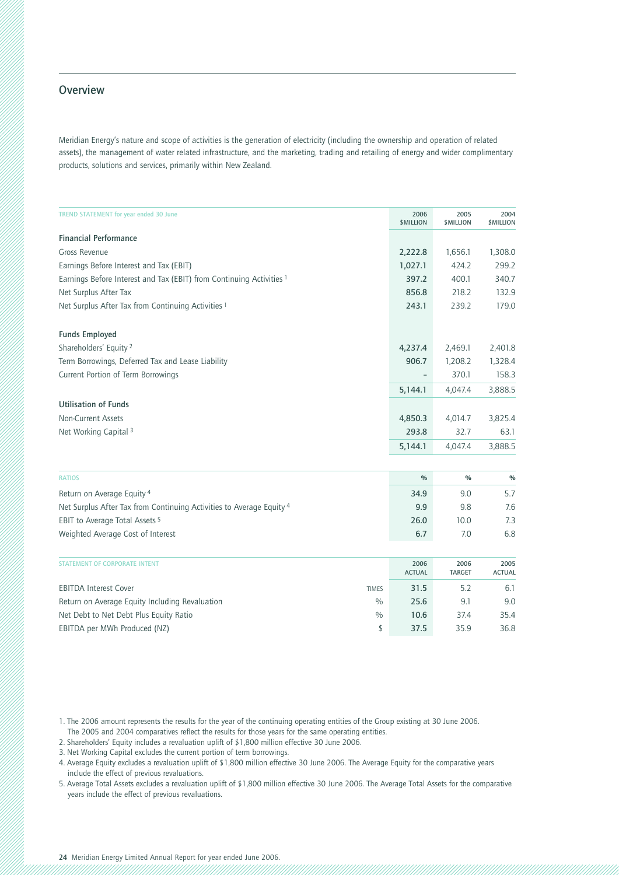### **Overview**

Meridian Energy's nature and scope of activities is the generation of electricity (including the ownership and operation of related assets), the management of water related infrastructure, and the marketing, trading and retailing of energy and wider complimentary products, solutions and services, primarily within New Zealand.

| <b>TREND STATEMENT for year ended 30 June</b>                        | 2006<br><b>\$MILLION</b> | 2005<br><b>\$MILLION</b> | 2004<br><b>\$MILLION</b> |
|----------------------------------------------------------------------|--------------------------|--------------------------|--------------------------|
| <b>Financial Performance</b>                                         |                          |                          |                          |
| Gross Revenue                                                        | 2,222.8                  | 1,656.1                  | 1,308.0                  |
| Earnings Before Interest and Tax (EBIT)                              | 1,027.1                  | 424.2                    | 299.2                    |
| Earnings Before Interest and Tax (EBIT) from Continuing Activities 1 | 397.2                    | 400.1                    | 340.7                    |
| Net Surplus After Tax                                                | 856.8                    | 218.2                    | 132.9                    |
| Net Surplus After Tax from Continuing Activities 1                   | 243.1                    | 239.2                    | 179.0                    |
| <b>Funds Employed</b>                                                |                          |                          |                          |
| Shareholders' Equity <sup>2</sup>                                    | 4,237.4                  | 2,469.1                  | 2,401.8                  |
| Term Borrowings, Deferred Tax and Lease Liability                    | 906.7                    | 1,208.2                  | 1,328.4                  |
| Current Portion of Term Borrowings                                   | $\qquad \qquad$          | 370.1                    | 158.3                    |
|                                                                      | 5,144.1                  | 4,047.4                  | 3,888.5                  |
| <b>Utilisation of Funds</b>                                          |                          |                          |                          |
| Non-Current Assets                                                   | 4,850.3                  | 4,014.7                  | 3,825.4                  |
| Net Working Capital 3                                                | 293.8                    | 32.7                     | 63.1                     |
|                                                                      | 5,144.1                  | 4,047.4                  | 3,888.5                  |

| <b>RATIOS</b>                                                        | $\frac{0}{0}$ | $\frac{0}{0}$ | $\%$ |
|----------------------------------------------------------------------|---------------|---------------|------|
| Return on Average Equity 4                                           | 34.9          | 9.0           | 5.7  |
| Net Surplus After Tax from Continuing Activities to Average Equity 4 | 9.9           | 9.8           | 7.6  |
| EBIT to Average Total Assets 5                                       | 26.0          | 10.0          | 7.3  |
| Weighted Average Cost of Interest                                    | 6.7           | 7.0           | 6.8  |

| <b>STATEMENT OF CORPORATE INTENT</b>                            | 2006<br><b>ACTUAL</b> | 2006<br><b>TARGET</b> | 2005<br><b>ACTUAL</b> |
|-----------------------------------------------------------------|-----------------------|-----------------------|-----------------------|
| <b>EBITDA Interest Cover</b><br><b>TIMES</b>                    | 31.5                  | 5.2                   | 6.1                   |
| Return on Average Equity Including Revaluation<br>$\frac{0}{0}$ | 25.6                  | 9.1                   | 9.0                   |
| Net Debt to Net Debt Plus Equity Ratio<br>$^{0/0}$              | 10.6                  | 37.4                  | 35.4                  |
| EBITDA per MWh Produced (NZ)                                    | 37.5                  | 35.9                  | 36.8                  |

1. The 2006 amount represents the results for the year of the continuing operating entities of the Group existing at 30 June 2006.

The 2005 and 2004 comparatives reflect the results for those years for the same operating entities.

2. Shareholders' Equity includes a revaluation uplift of \$1,800 million effective 30 June 2006.

3. Net Working Capital excludes the current portion of term borrowings.

4. Average Equity excludes a revaluation uplift of \$1,800 million effective 30 June 2006. The Average Equity for the comparative years include the effect of previous revaluations.

5. Average Total Assets excludes a revaluation uplift of \$1,800 million effective 30 June 2006. The Average Total Assets for the comparative years include the effect of previous revaluations.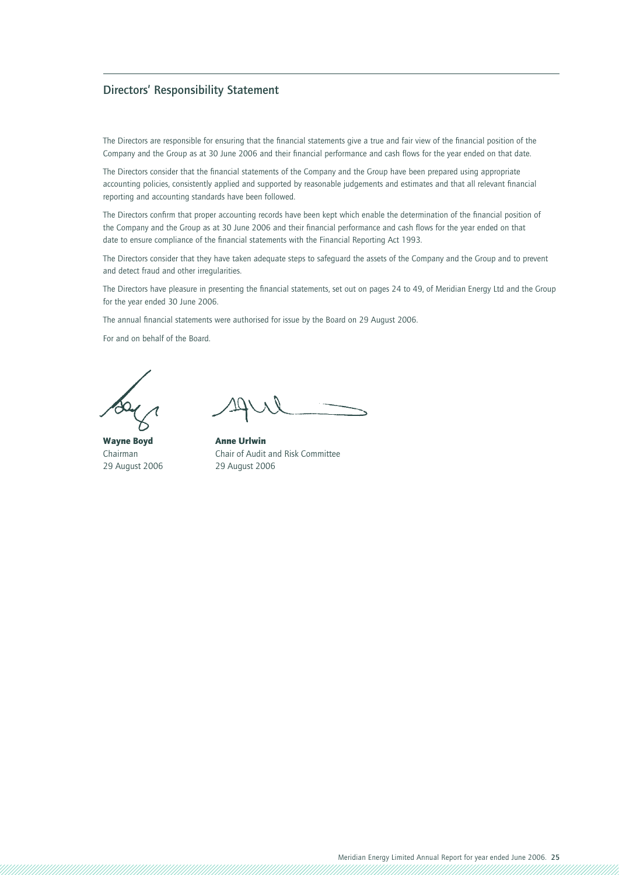### **Directors' Responsibility Statement**

The Directors are responsible for ensuring that the financial statements give a true and fair view of the financial position of the Company and the Group as at 30 June 2006 and their financial performance and cash flows for the year ended on that date.

The Directors consider that the financial statements of the Company and the Group have been prepared using appropriate accounting policies, consistently applied and supported by reasonable judgements and estimates and that all relevant financial reporting and accounting standards have been followed.

The Directors confirm that proper accounting records have been kept which enable the determination of the financial position of the Company and the Group as at 30 June 2006 and their financial performance and cash flows for the year ended on that date to ensure compliance of the financial statements with the Financial Reporting Act 1993.

The Directors consider that they have taken adequate steps to safeguard the assets of the Company and the Group and to prevent and detect fraud and other irregularities.

The Directors have pleasure in presenting the financial statements, set out on pages 24 to 49, of Meridian Energy Ltd and the Group for the year ended 30 June 2006.

The annual financial statements were authorised for issue by the Board on 29 August 2006.

For and on behalf of the Board.

Wayne BoydAnne Urlwin 29 August 2006 29 August 2006

Chairman Chair of Audit and Risk Committee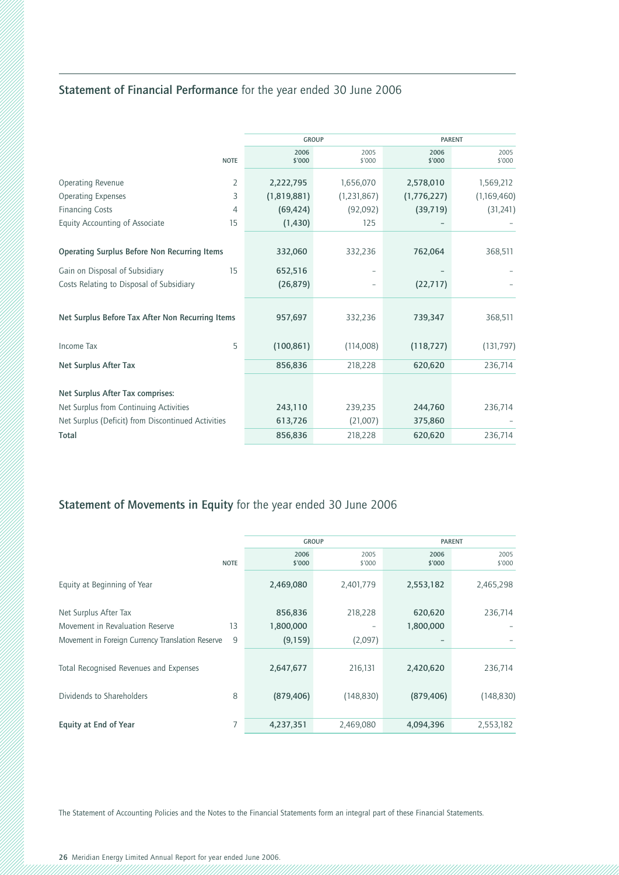# **Statement of Financial Performance** for the year ended 30 June 2006

|                                                     |                | <b>GROUP</b>   |                          |                | <b>PARENT</b>  |  |
|-----------------------------------------------------|----------------|----------------|--------------------------|----------------|----------------|--|
|                                                     | <b>NOTE</b>    | 2006<br>\$'000 | 2005<br>\$'000           | 2006<br>\$'000 | 2005<br>\$'000 |  |
| Operating Revenue                                   | $\overline{2}$ | 2,222,795      | 1,656,070                | 2,578,010      | 1,569,212      |  |
| <b>Operating Expenses</b>                           | 3              | (1,819,881)    | (1, 231, 867)            | (1,776,227)    | (1,169,460)    |  |
| <b>Financing Costs</b>                              | $\overline{4}$ | (69, 424)      | (92,092)                 | (39, 719)      | (31,241)       |  |
| Equity Accounting of Associate                      | 15             | (1, 430)       | 125                      |                |                |  |
|                                                     |                |                |                          |                |                |  |
| <b>Operating Surplus Before Non Recurring Items</b> |                | 332,060        | 332,236                  | 762,064        | 368,511        |  |
| Gain on Disposal of Subsidiary                      | 15             | 652,516        |                          |                |                |  |
| Costs Relating to Disposal of Subsidiary            |                | (26, 879)      | $\overline{\phantom{0}}$ | (22, 717)      |                |  |
|                                                     |                |                |                          |                |                |  |
| Net Surplus Before Tax After Non Recurring Items    |                | 957,697        | 332,236                  | 739,347        | 368,511        |  |
| Income Tax                                          | 5              | (100, 861)     | (114,008)                | (118, 727)     | (131, 797)     |  |
| Net Surplus After Tax                               |                | 856,836        | 218,228                  | 620,620        | 236,714        |  |
|                                                     |                |                |                          |                |                |  |
| Net Surplus After Tax comprises:                    |                |                |                          |                |                |  |
| Net Surplus from Continuing Activities              |                | 243,110        | 239,235                  | 244,760        | 236,714        |  |
| Net Surplus (Deficit) from Discontinued Activities  |                | 613,726        | (21,007)                 | 375,860        |                |  |
| <b>Total</b>                                        |                | 856,836        | 218,228                  | 620,620        | 236,714        |  |

# **Statement of Movements in Equity** for the year ended 30 June 2006

|                   |                       |                        | <b>PARENT</b>  |  |  |
|-------------------|-----------------------|------------------------|----------------|--|--|
| 2006              | 2005                  | 2006                   | 2005<br>\$'000 |  |  |
|                   |                       |                        |                |  |  |
| 2,469,080         | 2,401,779             | 2,553,182              | 2,465,298      |  |  |
|                   |                       |                        |                |  |  |
| 856,836           | 218,228               | 620,620                | 236,714        |  |  |
| 1,800,000         |                       | 1,800,000              |                |  |  |
| (9, 159)          | (2,097)               |                        |                |  |  |
|                   |                       |                        |                |  |  |
| 2,647,677         | 216,131               | 2,420,620              | 236,714        |  |  |
|                   |                       |                        |                |  |  |
| (879, 406)        | (148, 830)            | (879, 406)             | (148, 830)     |  |  |
|                   |                       |                        |                |  |  |
| 4,237,351         | 2,469,080             | 4,094,396              | 2,553,182      |  |  |
| 13<br>9<br>8<br>7 | <b>NOTE</b><br>\$'000 | <b>GROUP</b><br>\$'000 | \$'000         |  |  |

The Statement of Accounting Policies and the Notes to the Financial Statements form an integral part of these Financial Statements.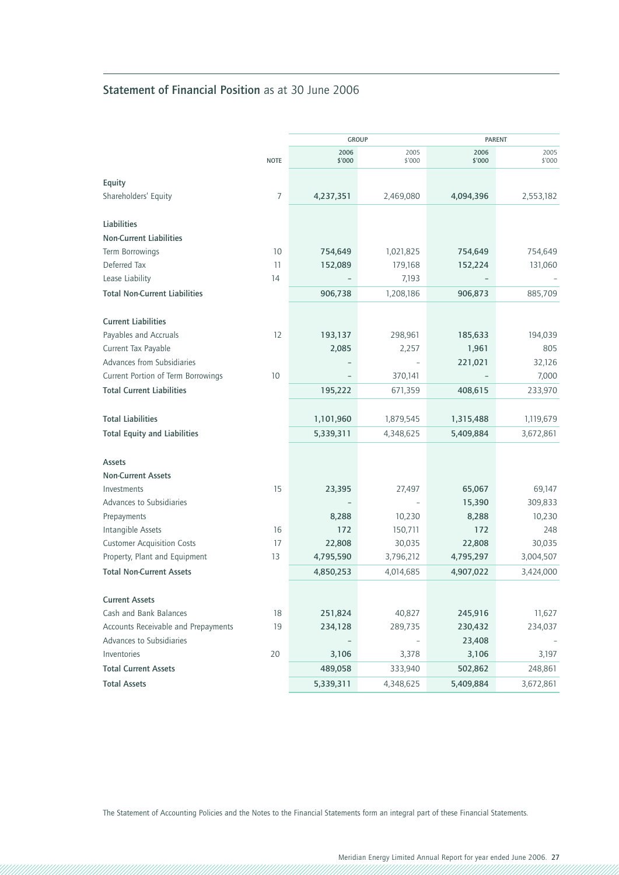# **Statement of Financial Position** as at 30 June 2006

|                                         |             | <b>GROUP</b>   |                |                | <b>PARENT</b>  |
|-----------------------------------------|-------------|----------------|----------------|----------------|----------------|
|                                         | <b>NOTE</b> | 2006<br>\$'000 | 2005<br>\$'000 | 2006<br>\$'000 | 2005<br>\$'000 |
| Equity                                  |             |                |                |                |                |
| Shareholders' Equity                    | 7           | 4,237,351      | 2,469,080      | 4,094,396      | 2,553,182      |
|                                         |             |                |                |                |                |
| Liabilities                             |             |                |                |                |                |
| <b>Non-Current Liabilities</b>          |             |                |                |                |                |
| Term Borrowings                         | 10          | 754,649        | 1,021,825      | 754,649        | 754,649        |
| Deferred Tax                            | 11          | 152,089        | 179,168        | 152,224        | 131,060        |
| Lease Liability                         | 14          |                | 7,193          |                |                |
| <b>Total Non-Current Liabilities</b>    |             | 906,738        | 1,208,186      | 906,873        | 885,709        |
| <b>Current Liabilities</b>              |             |                |                |                |                |
| Payables and Accruals                   | 12          | 193,137        | 298,961        | 185,633        | 194,039        |
| Current Tax Payable                     |             | 2,085          | 2,257          | 1,961          | 805            |
| Advances from Subsidiaries              |             |                |                | 221,021        | 32,126         |
| Current Portion of Term Borrowings      | 10          |                | 370,141        |                | 7,000          |
| <b>Total Current Liabilities</b>        |             | 195,222        | 671,359        | 408,615        | 233,970        |
|                                         |             |                |                |                |                |
| <b>Total Liabilities</b>                |             | 1,101,960      | 1,879,545      | 1,315,488      | 1,119,679      |
| <b>Total Equity and Liabilities</b>     |             | 5,339,311      | 4,348,625      | 5,409,884      | 3,672,861      |
| <b>Assets</b>                           |             |                |                |                |                |
| <b>Non-Current Assets</b>               |             |                |                |                |                |
| Investments                             | 15          | 23,395         | 27,497         | 65,067         | 69,147         |
| Advances to Subsidiaries                |             |                |                | 15,390         | 309,833        |
| Prepayments                             |             | 8,288          | 10,230         | 8,288          | 10,230         |
| Intangible Assets                       | 16          | 172            | 150,711        | 172            | 248            |
| <b>Customer Acquisition Costs</b>       | 17          | 22,808         | 30,035         | 22,808         | 30,035         |
| Property, Plant and Equipment           | 13          | 4,795,590      | 3,796,212      | 4,795,297      | 3,004,507      |
| <b>Total Non-Current Assets</b>         |             | 4,850,253      | 4,014,685      | 4,907,022      | 3,424,000      |
|                                         |             |                |                |                |                |
| <b>Current Assets</b>                   |             |                |                |                |                |
| Cash and Bank Balances                  | 18          | 251,824        | 40,827         | 245,916        | 11,627         |
| Accounts Receivable and Prepayments     | 19          | 234,128        | 289,735        | 230,432        | 234,037        |
| Advances to Subsidiaries<br>Inventories | 20          |                |                | 23,408         | 3,197          |
| <b>Total Current Assets</b>             |             | 3,106          | 3,378          | 3,106          |                |
|                                         |             | 489,058        | 333,940        | 502,862        | 248,861        |
| <b>Total Assets</b>                     |             | 5,339,311      | 4,348,625      | 5,409,884      | 3,672,861      |

The Statement of Accounting Policies and the Notes to the Financial Statements form an integral part of these Financial Statements.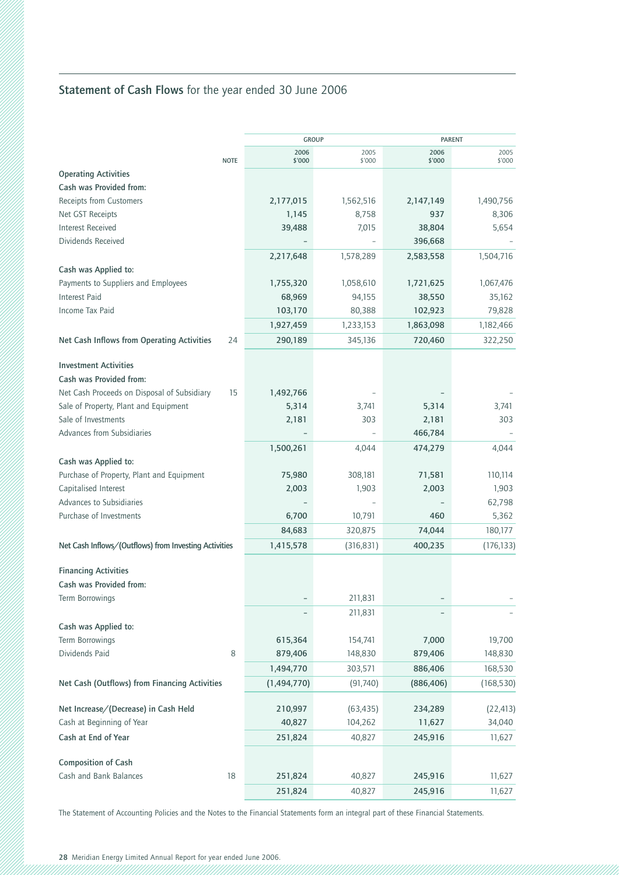# **Statement of Cash Flows** for the year ended 30 June 2006

|                                                       |                   | <b>GROUP</b>   |                | <b>PARENT</b>  |  |
|-------------------------------------------------------|-------------------|----------------|----------------|----------------|--|
| <b>NOTE</b>                                           | 2006<br>\$'000    | 2005<br>\$'000 | 2006<br>\$'000 | 2005<br>\$'000 |  |
| <b>Operating Activities</b>                           |                   |                |                |                |  |
| Cash was Provided from:                               |                   |                |                |                |  |
| Receipts from Customers                               | 2,177,015         | 1,562,516      | 2,147,149      | 1,490,756      |  |
| Net GST Receipts                                      | 1,145             | 8,758          | 937            | 8,306          |  |
| <b>Interest Received</b>                              | 39,488            | 7,015          | 38,804         | 5,654          |  |
| Dividends Received                                    |                   |                | 396,668        |                |  |
|                                                       | 2,217,648         | 1,578,289      | 2,583,558      | 1,504,716      |  |
| Cash was Applied to:                                  |                   |                |                |                |  |
| Payments to Suppliers and Employees                   | 1,755,320         | 1,058,610      | 1,721,625      | 1,067,476      |  |
| <b>Interest Paid</b>                                  | 68,969            | 94,155         | 38,550         | 35,162         |  |
| Income Tax Paid                                       | 103,170           | 80,388         | 102,923        | 79,828         |  |
|                                                       | 1,927,459         | 1,233,153      | 1,863,098      | 1,182,466      |  |
| Net Cash Inflows from Operating Activities            | 24<br>290,189     | 345,136        | 720,460        | 322,250        |  |
|                                                       |                   |                |                |                |  |
| <b>Investment Activities</b>                          |                   |                |                |                |  |
| Cash was Provided from:                               |                   |                |                |                |  |
| Net Cash Proceeds on Disposal of Subsidiary           | 15<br>1,492,766   |                |                |                |  |
| Sale of Property, Plant and Equipment                 | 5,314             | 3,741          | 5,314          | 3,741          |  |
| Sale of Investments                                   | 2,181             | 303            | 2,181          | 303            |  |
| Advances from Subsidiaries                            |                   |                | 466,784        |                |  |
|                                                       | 1,500,261         | 4,044          | 474,279        | 4,044          |  |
| Cash was Applied to:                                  |                   |                |                |                |  |
| Purchase of Property, Plant and Equipment             | 75,980            | 308,181        | 71,581         | 110,114        |  |
| Capitalised Interest                                  | 2,003             | 1,903          | 2,003          | 1,903          |  |
| Advances to Subsidiaries                              |                   |                |                | 62,798         |  |
| Purchase of Investments                               | 6,700             | 10,791         | 460            | 5,362          |  |
|                                                       | 84,683            | 320,875        | 74,044         | 180,177        |  |
| Net Cash Inflows/(Outflows) from Investing Activities | 1,415,578         | (316, 831)     | 400,235        | (176, 133)     |  |
| <b>Financing Activities</b>                           |                   |                |                |                |  |
| Cash was Provided from:                               |                   |                |                |                |  |
| Term Borrowings                                       |                   | 211,831        |                |                |  |
|                                                       |                   | 211,831        |                |                |  |
| Cash was Applied to:                                  |                   |                |                |                |  |
| Term Borrowings                                       | 615,364           | 154,741        | 7,000          | 19,700         |  |
| Dividends Paid                                        | $\, 8$<br>879,406 | 148,830        | 879,406        | 148,830        |  |
|                                                       | 1,494,770         | 303,571        | 886,406        | 168,530        |  |
| Net Cash (Outflows) from Financing Activities         | (1,494,770)       | (91, 740)      | (886, 406)     | (168, 530)     |  |
|                                                       |                   |                |                |                |  |
| Net Increase/(Decrease) in Cash Held                  | 210,997           | (63, 435)      | 234,289        | (22, 413)      |  |
| Cash at Beginning of Year                             | 40,827            | 104,262        | 11,627         | 34,040         |  |
| Cash at End of Year                                   | 251,824           | 40,827         | 245,916        | 11,627         |  |
|                                                       |                   |                |                |                |  |
| <b>Composition of Cash</b>                            |                   |                |                |                |  |
| Cash and Bank Balances<br>18                          | 251,824           | 40,827         | 245,916        | 11,627         |  |
|                                                       | 251,824           | 40,827         | 245,916        | 11,627         |  |

The Statement of Accounting Policies and the Notes to the Financial Statements form an integral part of these Financial Statements.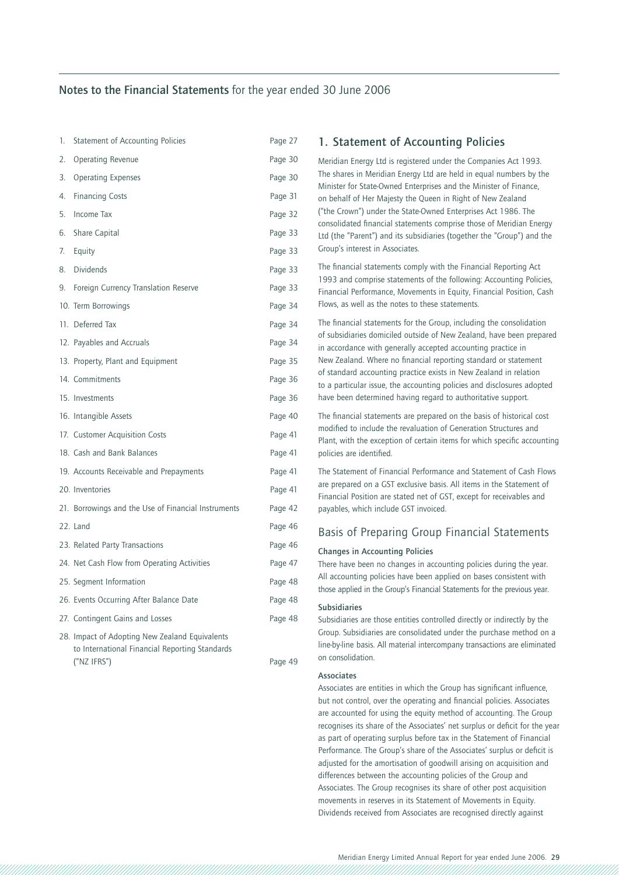### **Notes to the Financial Statements** for the year ended 30 June 2006

| 1.  | Statement of Accounting Policies                                                                 | Page 27 |
|-----|--------------------------------------------------------------------------------------------------|---------|
| 2.  | <b>Operating Revenue</b>                                                                         | Page 30 |
| 3.  | <b>Operating Expenses</b>                                                                        | Page 30 |
| 4.  | <b>Financing Costs</b>                                                                           | Page 31 |
| 5.  | <b>Income Tax</b>                                                                                | Page 32 |
| 6.  | Share Capital                                                                                    | Page 33 |
| 7.  | Equity                                                                                           | Page 33 |
| 8.  | <b>Dividends</b>                                                                                 | Page 33 |
| 9.  | Foreign Currency Translation Reserve                                                             | Page 33 |
|     | 10. Term Borrowings                                                                              | Page 34 |
| 11. | Deferred Tax                                                                                     | Page 34 |
|     | 12. Payables and Accruals                                                                        | Page 34 |
|     | 13. Property, Plant and Equipment                                                                | Page 35 |
|     | 14. Commitments                                                                                  | Page 36 |
|     | 15. Investments                                                                                  | Page 36 |
|     | 16. Intangible Assets                                                                            | Page 40 |
|     | 17. Customer Acquisition Costs                                                                   | Page 41 |
|     | 18. Cash and Bank Balances                                                                       | Page 41 |
|     | 19. Accounts Receivable and Prepayments                                                          | Page 41 |
|     | 20. Inventories                                                                                  | Page 41 |
|     | 21. Borrowings and the Use of Financial Instruments                                              | Page 42 |
|     | 22. Land                                                                                         | Page 46 |
|     | 23. Related Party Transactions                                                                   | Page 46 |
|     | 24. Net Cash Flow from Operating Activities                                                      | Page 47 |
|     | 25. Segment Information                                                                          | Page 48 |
|     | 26. Events Occurring After Balance Date                                                          | Page 48 |
|     | 27. Contingent Gains and Losses                                                                  | Page 48 |
|     | 28. Impact of Adopting New Zealand Equivalents<br>to International Financial Reporting Standards |         |

("NZ IFRS") Page 49

### **1. Statement of Accounting Policies**

Meridian Energy Ltd is registered under the Companies Act 1993. The shares in Meridian Energy Ltd are held in equal numbers by the Minister for State-Owned Enterprises and the Minister of Finance, on behalf of Her Majesty the Queen in Right of New Zealand ("the Crown") under the State-Owned Enterprises Act 1986. The consolidated financial statements comprise those of Meridian Energy Ltd (the "Parent") and its subsidiaries (together the "Group") and the Group's interest in Associates.

The financial statements comply with the Financial Reporting Act 1993 and comprise statements of the following: Accounting Policies, Financial Performance, Movements in Equity, Financial Position, Cash Flows, as well as the notes to these statements.

The financial statements for the Group, including the consolidation of subsidiaries domiciled outside of New Zealand, have been prepared in accordance with generally accepted accounting practice in New Zealand. Where no financial reporting standard or statement of standard accounting practice exists in New Zealand in relation to a particular issue, the accounting policies and disclosures adopted have been determined having regard to authoritative support.

The financial statements are prepared on the basis of historical cost modified to include the revaluation of Generation Structures and Plant, with the exception of certain items for which specific accounting policies are identified.

The Statement of Financial Performance and Statement of Cash Flows are prepared on a GST exclusive basis. All items in the Statement of Financial Position are stated net of GST, except for receivables and payables, which include GST invoiced.

### Basis of Preparing Group Financial Statements

### **Changes in Accounting Policies**

There have been no changes in accounting policies during the year. All accounting policies have been applied on bases consistent with those applied in the Group's Financial Statements for the previous year.

#### **Subsidiaries**

Subsidiaries are those entities controlled directly or indirectly by the Group. Subsidiaries are consolidated under the purchase method on a line-by-line basis. All material intercompany transactions are eliminated on consolidation.

#### **Associates**

Associates are entities in which the Group has significant influence, but not control, over the operating and financial policies. Associates are accounted for using the equity method of accounting. The Group recognises its share of the Associates' net surplus or deficit for the year as part of operating surplus before tax in the Statement of Financial Performance. The Group's share of the Associates' surplus or deficit is adjusted for the amortisation of goodwill arising on acquisition and differences between the accounting policies of the Group and Associates. The Group recognises its share of other post acquisition movements in reserves in its Statement of Movements in Equity. Dividends received from Associates are recognised directly against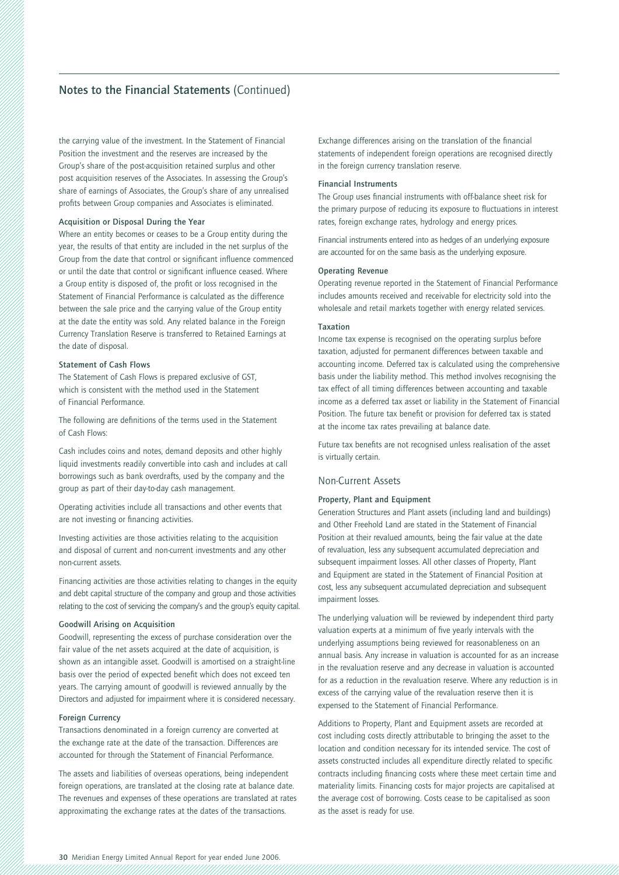the carrying value of the investment. In the Statement of Financial Position the investment and the reserves are increased by the Group's share of the post-acquisition retained surplus and other post acquisition reserves of the Associates. In assessing the Group's share of earnings of Associates, the Group's share of any unrealised profits between Group companies and Associates is eliminated.

### **Acquisition or Disposal During the Year**

Where an entity becomes or ceases to be a Group entity during the year, the results of that entity are included in the net surplus of the Group from the date that control or significant influence commenced or until the date that control or significant influence ceased. Where a Group entity is disposed of, the profit or loss recognised in the Statement of Financial Performance is calculated as the difference between the sale price and the carrying value of the Group entity at the date the entity was sold. Any related balance in the Foreign Currency Translation Reserve is transferred to Retained Earnings at the date of disposal.

#### **Statement of Cash Flows**

The Statement of Cash Flows is prepared exclusive of GST, which is consistent with the method used in the Statement of Financial Performance.

The following are definitions of the terms used in the Statement of Cash Flows:

Cash includes coins and notes, demand deposits and other highly liquid investments readily convertible into cash and includes at call borrowings such as bank overdrafts, used by the company and the group as part of their day-to-day cash management.

Operating activities include all transactions and other events that are not investing or financing activities.

Investing activities are those activities relating to the acquisition and disposal of current and non-current investments and any other non-current assets.

Financing activities are those activities relating to changes in the equity and debt capital structure of the company and group and those activities relating to the cost of servicing the company's and the group's equity capital.

### **Goodwill Arising on Acquisition**

Goodwill, representing the excess of purchase consideration over the fair value of the net assets acquired at the date of acquisition, is shown as an intangible asset. Goodwill is amortised on a straight-line basis over the period of expected benefit which does not exceed ten years. The carrying amount of goodwill is reviewed annually by the Directors and adjusted for impairment where it is considered necessary.

#### **Foreign Currency**

Transactions denominated in a foreign currency are converted at the exchange rate at the date of the transaction. Differences are accounted for through the Statement of Financial Performance.

The assets and liabilities of overseas operations, being independent foreign operations, are translated at the closing rate at balance date. The revenues and expenses of these operations are translated at rates approximating the exchange rates at the dates of the transactions.

Exchange differences arising on the translation of the financial statements of independent foreign operations are recognised directly in the foreign currency translation reserve.

#### **Financial Instruments**

The Group uses financial instruments with off-balance sheet risk for the primary purpose of reducing its exposure to fluctuations in interest rates, foreign exchange rates, hydrology and energy prices.

Financial instruments entered into as hedges of an underlying exposure are accounted for on the same basis as the underlying exposure.

#### **Operating Revenue**

Operating revenue reported in the Statement of Financial Performance includes amounts received and receivable for electricity sold into the wholesale and retail markets together with energy related services.

#### **Taxation**

Income tax expense is recognised on the operating surplus before taxation, adjusted for permanent differences between taxable and accounting income. Deferred tax is calculated using the comprehensive basis under the liability method. This method involves recognising the tax effect of all timing differences between accounting and taxable income as a deferred tax asset or liability in the Statement of Financial Position. The future tax benefit or provision for deferred tax is stated at the income tax rates prevailing at balance date.

Future tax benefits are not recognised unless realisation of the asset is virtually certain.

#### Non-Current Assets

### **Property, Plant and Equipment**

Generation Structures and Plant assets (including land and buildings) and Other Freehold Land are stated in the Statement of Financial Position at their revalued amounts, being the fair value at the date of revaluation, less any subsequent accumulated depreciation and subsequent impairment losses. All other classes of Property, Plant and Equipment are stated in the Statement of Financial Position at cost, less any subsequent accumulated depreciation and subsequent impairment losses.

The underlying valuation will be reviewed by independent third party valuation experts at a minimum of five yearly intervals with the underlying assumptions being reviewed for reasonableness on an annual basis. Any increase in valuation is accounted for as an increase in the revaluation reserve and any decrease in valuation is accounted for as a reduction in the revaluation reserve. Where any reduction is in excess of the carrying value of the revaluation reserve then it is expensed to the Statement of Financial Performance.

Additions to Property, Plant and Equipment assets are recorded at cost including costs directly attributable to bringing the asset to the location and condition necessary for its intended service. The cost of assets constructed includes all expenditure directly related to specific contracts including financing costs where these meet certain time and materiality limits. Financing costs for major projects are capitalised at the average cost of borrowing. Costs cease to be capitalised as soon as the asset is ready for use.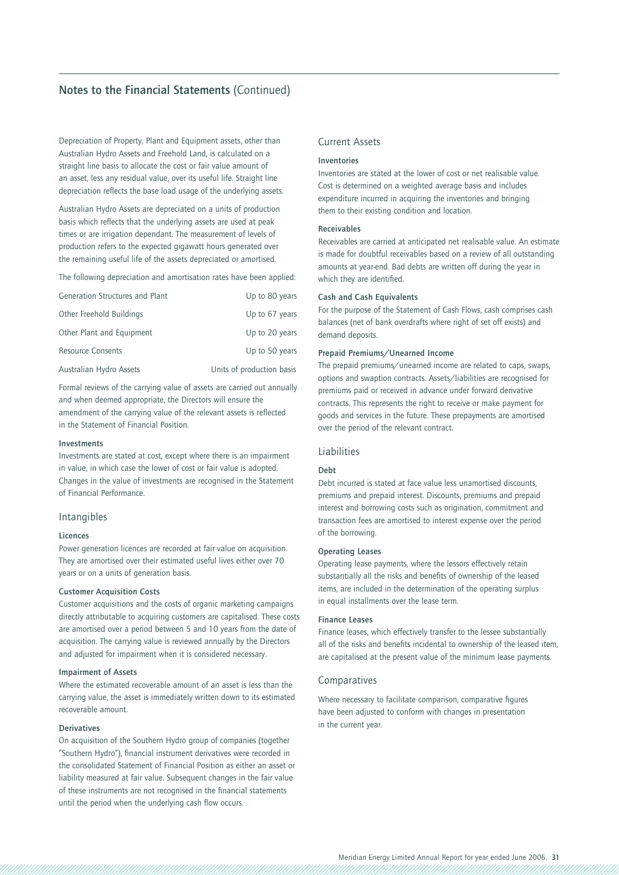Depreciation of Property, Plant and Equipment assets, other than Australian Hydro Assets and Freehold Land, is calculated on a straight line basis to allocate the cost or fair value amount of an asset, less any residual value, over its useful life. Straight line depreciation reflects the base load usage of the underlying assets.

Australian Hydro Assets are depreciated on a units of production basis which reflects that the underlying assets are used at peak times or are irrigation dependant. The measurement of levels of production refers to the expected gigawatt hours generated over the remaining useful life of the assets depreciated or amortised.

The following depreciation and amortisation rates have been applied:

| Generation Structures and Plant | Up to 80 years            |
|---------------------------------|---------------------------|
| Other Freehold Buildings        | Up to 67 years            |
| Other Plant and Equipment       | Up to 20 years            |
| <b>Resource Consents</b>        | Up to 50 years            |
| Australian Hydro Assets         | Units of production basis |

Formal reviews of the carrying value of assets are carried out annually and when deemed appropriate, the Directors will ensure the amendment of the carrying value of the relevant assets is reflected in the Statement of Financial Position.

#### **Investments**

Investments are stated at cost, except where there is an impairment in value, in which case the lower of cost or fair value is adopted. Changes in the value of investments are recognised in the Statement of Financial Performance.

### Intangibles

#### **Licences**

Power generation licences are recorded at fair value on acquisition. They are amortised over their estimated useful lives either over 70 years or on a units of generation basis.

#### **Customer Acquisition Costs**

Customer acquisitions and the costs of organic marketing campaigns directly attributable to acquiring customers are capitalised. These costs are amortised over a period between 5 and 10 years from the date of acquisition. The carrying value is reviewed annually by the Directors and adjusted for impairment when it is considered necessary.

#### **Impairment of Assets**

Where the estimated recoverable amount of an asset is less than the carrying value, the asset is immediately written down to its estimated recoverable amount.

#### **Derivatives**

On acquisition of the Southern Hydro group of companies (together "Southern Hydro"), financial instrument derivatives were recorded in the consolidated Statement of Financial Position as either an asset or liability measured at fair value. Subsequent changes in the fair value of these instruments are not recognised in the financial statements until the period when the underlying cash flow occurs.

### Current Assets

#### **Inventories**

Inventories are stated at the lower of cost or net realisable value. Cost is determined on a weighted average basis and includes expenditure incurred in acquiring the inventories and bringing them to their existing condition and location.

#### **Receivables**

Receivables are carried at anticipated net realisable value. An estimate is made for doubtful receivables based on a review of all outstanding amounts at year-end. Bad debts are written off during the year in which they are identified.

#### **Cash and Cash Equivalents**

For the purpose of the Statement of Cash Flows, cash comprises cash balances (net of bank overdrafts where right of set off exists) and demand deposits.

### **Prepaid Premiums/Unearned Income**

The prepaid premiums/unearned income are related to caps, swaps, options and swaption contracts. Assets/liabilities are recognised for premiums paid or received in advance under forward derivative contracts. This represents the right to receive or make payment for goods and services in the future. These prepayments are amortised over the period of the relevant contract.

#### Liabilities

### **Debt**

Debt incurred is stated at face value less unamortised discounts, premiums and prepaid interest. Discounts, premiums and prepaid interest and borrowing costs such as origination, commitment and transaction fees are amortised to interest expense over the period of the borrowing.

#### **Operating Leases**

Operating lease payments, where the lessors effectively retain substantially all the risks and benefits of ownership of the leased items, are included in the determination of the operating surplus in equal installments over the lease term.

### **Finance Leases**

Finance leases, which effectively transfer to the lessee substantially all of the risks and benefits incidental to ownership of the leased item, are capitalised at the present value of the minimum lease payments.

#### Comparatives

Where necessary to facilitate comparison, comparative figures have been adjusted to conform with changes in presentation in the current year.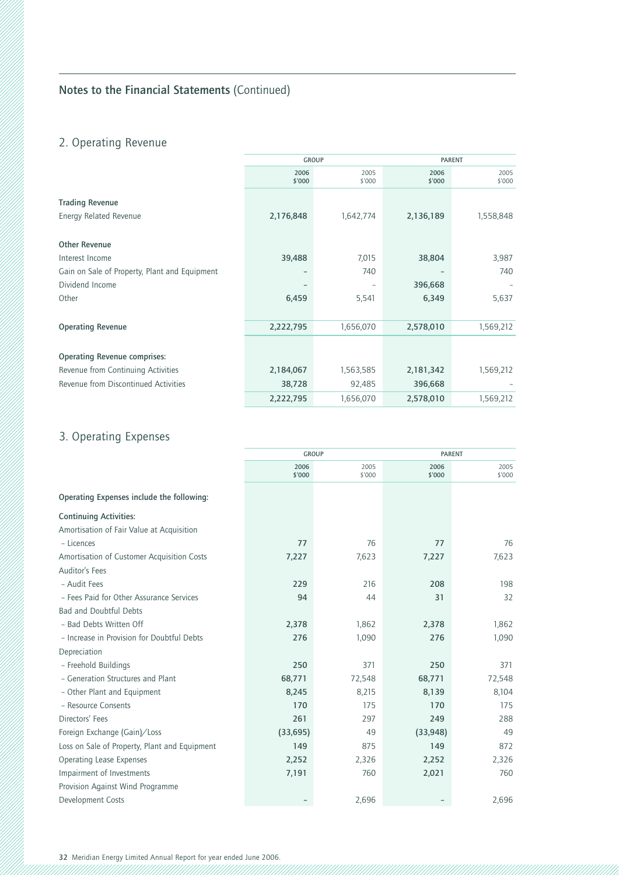# 2. Operating Revenue

|                                               |                | <b>GROUP</b>   |                | <b>PARENT</b>  |  |
|-----------------------------------------------|----------------|----------------|----------------|----------------|--|
|                                               | 2006<br>\$'000 | 2005<br>\$'000 | 2006<br>\$'000 | 2005<br>\$'000 |  |
| <b>Trading Revenue</b>                        |                |                |                |                |  |
| <b>Energy Related Revenue</b>                 | 2,176,848      | 1,642,774      | 2,136,189      | 1,558,848      |  |
| <b>Other Revenue</b>                          |                |                |                |                |  |
| Interest Income                               | 39,488         | 7,015          | 38,804         | 3,987          |  |
| Gain on Sale of Property, Plant and Equipment |                | 740            |                | 740            |  |
| Dividend Income                               |                |                | 396,668        |                |  |
| Other                                         | 6,459          | 5,541          | 6,349          | 5,637          |  |
|                                               |                |                |                |                |  |
| <b>Operating Revenue</b>                      | 2,222,795      | 1,656,070      | 2,578,010      | 1,569,212      |  |
|                                               |                |                |                |                |  |
| <b>Operating Revenue comprises:</b>           |                |                |                |                |  |
| Revenue from Continuing Activities            | 2,184,067      | 1,563,585      | 2,181,342      | 1,569,212      |  |
| Revenue from Discontinued Activities          | 38,728         | 92,485         | 396,668        |                |  |
|                                               | 2,222,795      | 1,656,070      | 2,578,010      | 1,569,212      |  |

# 3. Operating Expenses

|                                               | <b>GROUP</b>   |                |                | <b>PARENT</b>  |  |
|-----------------------------------------------|----------------|----------------|----------------|----------------|--|
|                                               | 2006<br>\$'000 | 2005<br>\$'000 | 2006<br>\$'000 | 2005<br>\$'000 |  |
| Operating Expenses include the following:     |                |                |                |                |  |
| <b>Continuing Activities:</b>                 |                |                |                |                |  |
| Amortisation of Fair Value at Acquisition     |                |                |                |                |  |
| - Licences                                    | 77             | 76             | 77             | 76             |  |
| Amortisation of Customer Acquisition Costs    | 7,227          | 7,623          | 7,227          | 7,623          |  |
| <b>Auditor's Fees</b>                         |                |                |                |                |  |
| - Audit Fees                                  | 229            | 216            | 208            | 198            |  |
| - Fees Paid for Other Assurance Services      | 94             | 44             | 31             | 32             |  |
| <b>Bad and Doubtful Debts</b>                 |                |                |                |                |  |
| - Bad Debts Written Off                       | 2,378          | 1,862          | 2,378          | 1,862          |  |
| - Increase in Provision for Doubtful Debts    | 276            | 1,090          | 276            | 1,090          |  |
| Depreciation                                  |                |                |                |                |  |
| - Freehold Buildings                          | 250            | 371            | 250            | 371            |  |
| - Generation Structures and Plant             | 68,771         | 72,548         | 68,771         | 72,548         |  |
| - Other Plant and Equipment                   | 8,245          | 8,215          | 8,139          | 8,104          |  |
| - Resource Consents                           | 170            | 175            | 170            | 175            |  |
| Directors' Fees                               | 261            | 297            | 249            | 288            |  |
| Foreign Exchange (Gain)/Loss                  | (33, 695)      | 49             | (33,948)       | 49             |  |
| Loss on Sale of Property, Plant and Equipment | 149            | 875            | 149            | 872            |  |
| Operating Lease Expenses                      | 2,252          | 2,326          | 2,252          | 2,326          |  |
| Impairment of Investments                     | 7,191          | 760            | 2,021          | 760            |  |
| Provision Against Wind Programme              |                |                |                |                |  |
| Development Costs                             |                | 2,696          |                | 2,696          |  |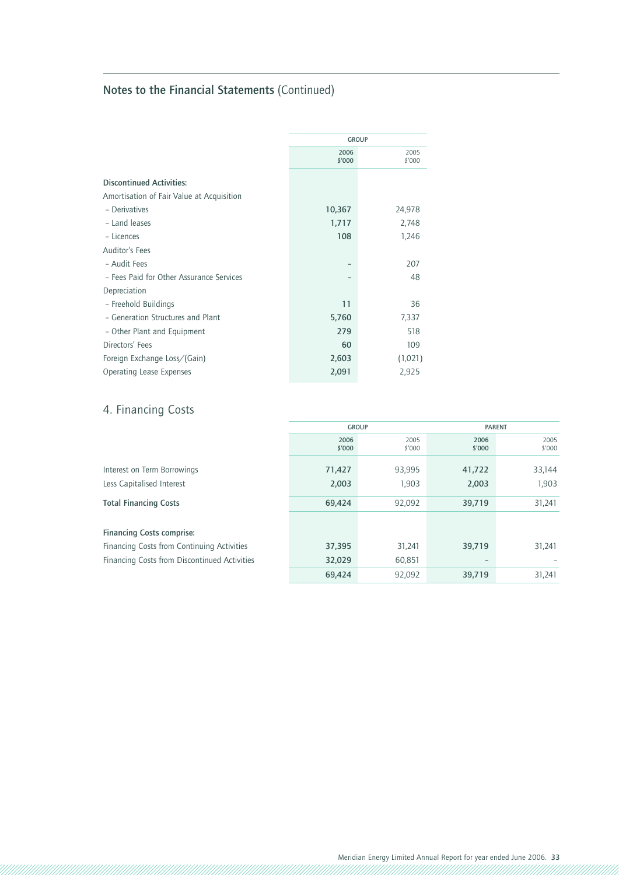|                                           | <b>GROUP</b>   |                |  |
|-------------------------------------------|----------------|----------------|--|
|                                           | 2006<br>\$'000 | 2005<br>\$'000 |  |
| <b>Discontinued Activities:</b>           |                |                |  |
| Amortisation of Fair Value at Acquisition |                |                |  |
| - Derivatives                             | 10,367         | 24,978         |  |
| - Land leases                             | 1,717          | 2,748          |  |
| - Licences                                | 108            | 1,246          |  |
| Auditor's Fees                            |                |                |  |
| - Audit Fees                              |                | 207            |  |
| - Fees Paid for Other Assurance Services  |                | 48             |  |
| Depreciation                              |                |                |  |
| - Freehold Buildings                      | 11             | 36             |  |
| - Generation Structures and Plant         | 5,760          | 7,337          |  |
| - Other Plant and Equipment               | 279            | 518            |  |
| Directors' Fees                           | 60             | 109            |  |
| Foreign Exchange Loss/(Gain)              | 2,603          | (1,021)        |  |
| Operating Lease Expenses                  | 2,091          | 2,925          |  |

# 4. Financing Costs

|                                              | <b>GROUP</b>   |                | <b>PARENT</b>            |                |
|----------------------------------------------|----------------|----------------|--------------------------|----------------|
|                                              | 2006<br>\$'000 | 2005<br>\$'000 | 2006<br>\$'000           | 2005<br>\$'000 |
| Interest on Term Borrowings                  | 71,427         | 93,995         | 41,722                   | 33,144         |
| Less Capitalised Interest                    | 2,003          | 1,903          | 2,003                    | 1,903          |
| <b>Total Financing Costs</b>                 | 69,424         | 92,092         | 39,719                   | 31,241         |
| <b>Financing Costs comprise:</b>             |                |                |                          |                |
| Financing Costs from Continuing Activities   | 37,395         | 31,241         | 39,719                   | 31,241         |
| Financing Costs from Discontinued Activities | 32,029         | 60,851         | $\overline{\phantom{0}}$ |                |
|                                              | 69.424         | 92.092         | 39,719                   | 31,241         |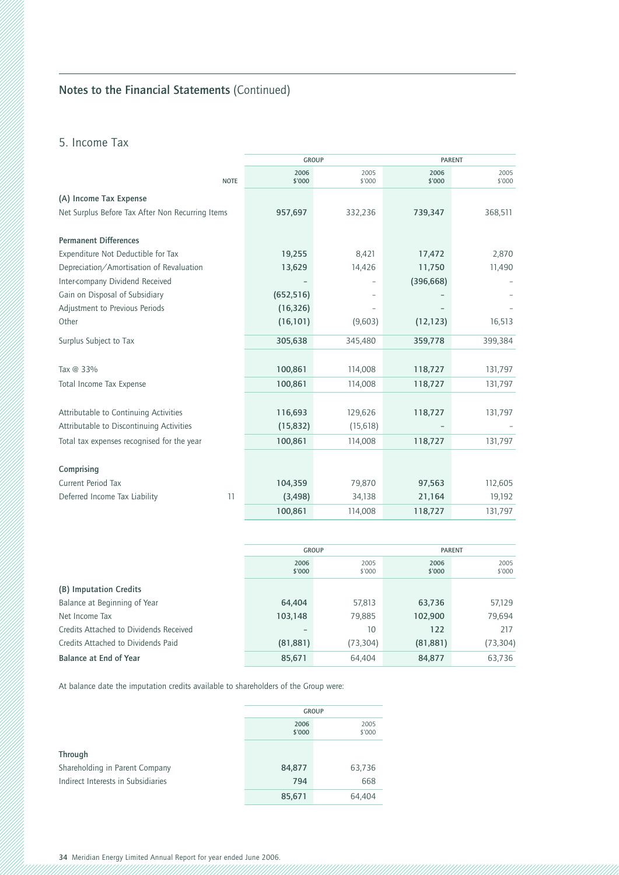## 5. Income Tax

|                                                  | <b>GROUP</b>   |                | <b>PARENT</b>  |                |
|--------------------------------------------------|----------------|----------------|----------------|----------------|
| <b>NOTE</b>                                      | 2006<br>\$'000 | 2005<br>\$'000 | 2006<br>\$'000 | 2005<br>\$'000 |
| (A) Income Tax Expense                           |                |                |                |                |
| Net Surplus Before Tax After Non Recurring Items | 957,697        | 332,236        | 739,347        | 368,511        |
|                                                  |                |                |                |                |
| <b>Permanent Differences</b>                     |                |                |                |                |
| Expenditure Not Deductible for Tax               | 19,255         | 8,421          | 17,472         | 2,870          |
| Depreciation/Amortisation of Revaluation         | 13,629         | 14,426         | 11,750         | 11,490         |
| Inter-company Dividend Received                  |                |                | (396, 668)     |                |
| Gain on Disposal of Subsidiary                   | (652, 516)     |                |                |                |
| Adjustment to Previous Periods                   | (16, 326)      |                |                |                |
| Other                                            | (16, 101)      | (9,603)        | (12, 123)      | 16,513         |
| Surplus Subject to Tax                           | 305,638        | 345,480        | 359,778        | 399,384        |
|                                                  |                |                |                |                |
| Tax @ 33%                                        | 100,861        | 114,008        | 118,727        | 131,797        |
| Total Income Tax Expense                         | 100,861        | 114,008        | 118,727        | 131,797        |
|                                                  |                |                |                |                |
| Attributable to Continuing Activities            | 116,693        | 129,626        | 118,727        | 131,797        |
| Attributable to Discontinuing Activities         | (15, 832)      | (15,618)       |                |                |
| Total tax expenses recognised for the year       | 100,861        | 114,008        | 118,727        | 131,797        |
|                                                  |                |                |                |                |
| Comprising                                       |                |                |                |                |
| <b>Current Period Tax</b>                        | 104,359        | 79,870         | 97,563         | 112,605        |
| Deferred Income Tax Liability<br>11              | (3, 498)       | 34,138         | 21,164         | 19,192         |
|                                                  | 100,861        | 114,008        | 118,727        | 131,797        |

|                                        | <b>GROUP</b>   |                | <b>PARENT</b>  |                |
|----------------------------------------|----------------|----------------|----------------|----------------|
|                                        | 2006<br>\$'000 | 2005<br>\$'000 | 2006<br>\$'000 | 2005<br>\$'000 |
| (B) Imputation Credits                 |                |                |                |                |
| Balance at Beginning of Year           | 64,404         | 57,813         | 63,736         | 57,129         |
| Net Income Tax                         | 103,148        | 79,885         | 102,900        | 79,694         |
| Credits Attached to Dividends Received | -              | 10             | 122            | 217            |
| Credits Attached to Dividends Paid     | (81, 881)      | (73,304)       | (81, 881)      | (73, 304)      |
| Balance at End of Year                 | 85,671         | 64.404         | 84,877         | 63.736         |

At balance date the imputation credits available to shareholders of the Group were:

|                                    | <b>GROUP</b>   |        |  |
|------------------------------------|----------------|--------|--|
|                                    | 2006<br>\$'000 |        |  |
| <b>Through</b>                     |                |        |  |
| Shareholding in Parent Company     | 84,877         | 63,736 |  |
| Indirect Interests in Subsidiaries | 794            | 668    |  |
|                                    | 85,671         | 64.404 |  |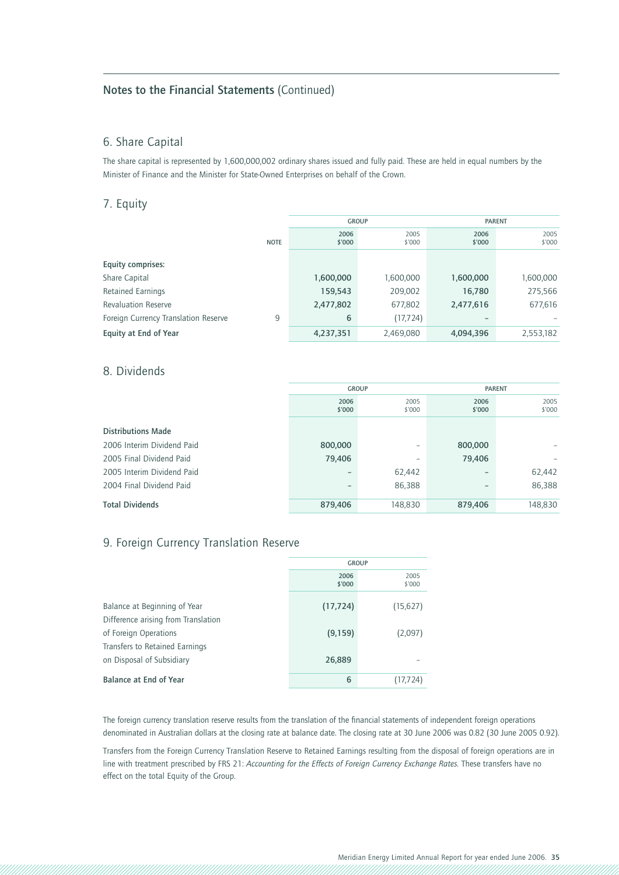### 6. Share Capital

The share capital is represented by 1,600,000,002 ordinary shares issued and fully paid. These are held in equal numbers by the Minister of Finance and the Minister for State-Owned Enterprises on behalf of the Crown.

### 7. Equity

|                                      |             | <b>GROUP</b>   |                |                | <b>PARENT</b>  |
|--------------------------------------|-------------|----------------|----------------|----------------|----------------|
|                                      | <b>NOTE</b> | 2006<br>\$'000 | 2005<br>\$'000 | 2006<br>\$'000 | 2005<br>\$'000 |
| Equity comprises:                    |             |                |                |                |                |
| Share Capital                        |             | 1,600,000      | 000,000,1      | 1,600,000      | 1,600,000      |
| <b>Retained Earnings</b>             |             | 159,543        | 209,002        | 16,780         | 275,566        |
| <b>Revaluation Reserve</b>           |             | 2,477,802      | 677,802        | 2,477,616      | 677,616        |
| Foreign Currency Translation Reserve | 9           | 6              | (17, 724)      |                |                |
| Equity at End of Year                |             | 4,237,351      | 2,469,080      | 4,094,396      | 2,553,182      |

### 8. Dividends

|                            | <b>GROUP</b>   |                | <b>PARENT</b>            |                |
|----------------------------|----------------|----------------|--------------------------|----------------|
|                            | 2006<br>\$'000 | 2005<br>\$'000 | 2006<br>\$'000           | 2005<br>\$'000 |
| <b>Distributions Made</b>  |                |                |                          |                |
| 2006 Interim Dividend Paid | 800,000        | ۰              | 800,000                  |                |
| 2005 Final Dividend Paid   | 79,406         | -              | 79,406                   |                |
| 2005 Interim Dividend Paid | -              | 62,442         |                          | 62,442         |
| 2004 Final Dividend Paid   | -              | 86,388         | $\overline{\phantom{0}}$ | 86,388         |
| <b>Total Dividends</b>     | 879,406        | 148,830        | 879,406                  | 148,830        |

### 9. Foreign Currency Translation Reserve

|                                     | <b>GROUP</b>   |                |  |
|-------------------------------------|----------------|----------------|--|
|                                     | 2006<br>\$'000 | 2005<br>\$'000 |  |
| Balance at Beginning of Year        | (17, 724)      | (15, 627)      |  |
| Difference arising from Translation |                |                |  |
| of Foreign Operations               | (9, 159)       | (2,097)        |  |
| Transfers to Retained Earnings      |                |                |  |
| on Disposal of Subsidiary           | 26,889         |                |  |
| Balance at End of Year              | 6              | (17, 724)      |  |

The foreign currency translation reserve results from the translation of the financial statements of independent foreign operations denominated in Australian dollars at the closing rate at balance date. The closing rate at 30 June 2006 was 0.82 (30 June 2005 0.92).

Transfers from the Foreign Currency Translation Reserve to Retained Earnings resulting from the disposal of foreign operations are in line with treatment prescribed by FRS 21: *Accounting for the Effects of Foreign Currency Exchange Rates.* These transfers have no effect on the total Equity of the Group.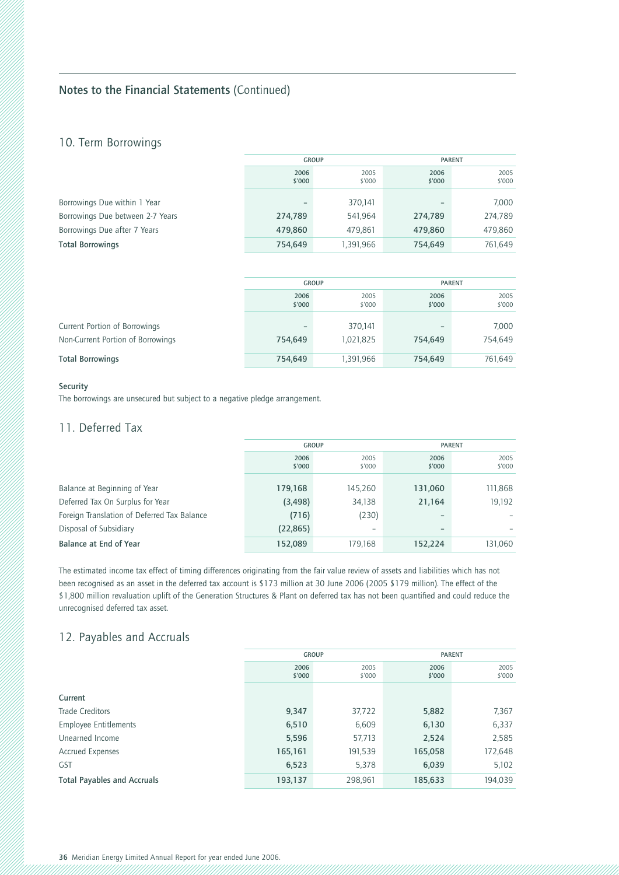### 10. Term Borrowings

|                                  | <b>GROUP</b>   |                | <b>PARENT</b>  |                |
|----------------------------------|----------------|----------------|----------------|----------------|
|                                  | 2006<br>\$'000 | 2005<br>\$'000 | 2006<br>\$'000 | 2005<br>\$'000 |
| Borrowings Due within 1 Year     | -              | 370,141        |                | 7,000          |
| Borrowings Due between 2-7 Years | 274,789        | 541,964        | 274,789        | 274,789        |
| Borrowings Due after 7 Years     | 479,860        | 479.861        | 479,860        | 479,860        |
| <b>Total Borrowings</b>          | 754,649        | 1,391,966      | 754,649        | 761,649        |

|                                   | <b>GROUP</b> |           | <b>PARENT</b> |         |
|-----------------------------------|--------------|-----------|---------------|---------|
|                                   | 2006         | 2005      | 2006          | 2005    |
|                                   | \$'000       | \$'000    | \$'000        | \$'000  |
| Current Portion of Borrowings     | -            | 370.141   | 754,649       | 7,000   |
| Non-Current Portion of Borrowings | 754,649      | 1,021,825 |               | 754,649 |
| <b>Total Borrowings</b>           | 754,649      | 1,391,966 | 754,649       | 761,649 |

### **Security**

The borrowings are unsecured but subject to a negative pledge arrangement.

### 11. Deferred Tax

|                                             | <b>GROUP</b>   |                | <b>PARENT</b>  |                |
|---------------------------------------------|----------------|----------------|----------------|----------------|
|                                             | 2006<br>\$'000 | 2005<br>\$'000 | 2006<br>\$'000 | 2005<br>\$'000 |
| Balance at Beginning of Year                | 179,168        | 145,260        | 131,060        | 111,868        |
| Deferred Tax On Surplus for Year            | (3, 498)       | 34,138         | 21,164         | 19,192         |
| Foreign Translation of Deferred Tax Balance | (716)          | (230)          |                |                |
| Disposal of Subsidiary                      | (22, 865)      | ۰              | -              |                |
| Balance at End of Year                      | 152,089        | 179,168        | 152,224        | 131,060        |

The estimated income tax effect of timing differences originating from the fair value review of assets and liabilities which has not been recognised as an asset in the deferred tax account is \$173 million at 30 June 2006 (2005 \$179 million). The effect of the \$1,800 million revaluation uplift of the Generation Structures & Plant on deferred tax has not been quantified and could reduce the unrecognised deferred tax asset.

### 12. Payables and Accruals

|                                    | <b>GROUP</b>   |                | <b>PARENT</b>  |                |
|------------------------------------|----------------|----------------|----------------|----------------|
|                                    | 2006<br>\$'000 | 2005<br>\$'000 | 2006<br>\$'000 | 2005<br>\$'000 |
| Current                            |                |                |                |                |
| <b>Trade Creditors</b>             | 9,347          | 37,722         | 5,882          | 7,367          |
| <b>Employee Entitlements</b>       | 6,510          | 6,609          | 6,130          | 6,337          |
| Unearned Income                    | 5,596          | 57,713         | 2,524          | 2,585          |
| <b>Accrued Expenses</b>            | 165,161        | 191,539        | 165,058        | 172,648        |
| <b>GST</b>                         | 6,523          | 5,378          | 6,039          | 5,102          |
| <b>Total Payables and Accruals</b> | 193,137        | 298,961        | 185,633        | 194,039        |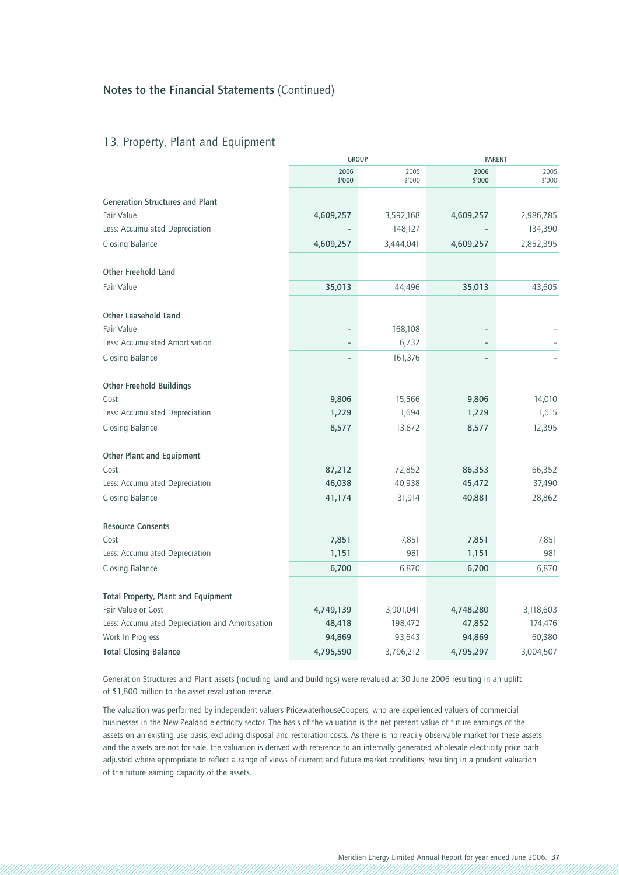### 13. Property, Plant and Equipment

|                                                 | <b>GROUP</b>             |                | <b>PARENT</b>  |                |
|-------------------------------------------------|--------------------------|----------------|----------------|----------------|
|                                                 | 2006<br>\$'000           | 2005<br>\$'000 | 2006<br>\$'000 | 2005<br>\$'000 |
| <b>Generation Structures and Plant</b>          |                          |                |                |                |
| <b>Fair Value</b>                               | 4,609,257                | 3,592,168      | 4,609,257      | 2,986,785      |
| Less: Accumulated Depreciation                  |                          | 148,127        |                | 134,390        |
| Closing Balance                                 | 4,609,257                | 3,444,041      | 4,609,257      | 2,852,395      |
| <b>Other Freehold Land</b>                      |                          |                |                |                |
| <b>Fair Value</b>                               | 35,013                   | 44,496         | 35,013         | 43,605         |
| <b>Other Leasehold Land</b>                     |                          |                |                |                |
| <b>Fair Value</b>                               |                          | 168,108        |                |                |
| Less: Accumulated Amortisation                  | $\qquad \qquad -$        | 6,732          |                |                |
| Closing Balance                                 | $\overline{\phantom{0}}$ | 161,376        | $\equiv$       |                |
| <b>Other Freehold Buildings</b>                 |                          |                |                |                |
| Cost                                            | 9,806                    | 15,566         | 9,806          | 14,010         |
| Less: Accumulated Depreciation                  | 1,229                    | 1,694          | 1,229          | 1,615          |
| Closing Balance                                 | 8,577                    | 13,872         | 8,577          | 12,395         |
| <b>Other Plant and Equipment</b>                |                          |                |                |                |
| Cost                                            | 87,212                   | 72,852         | 86,353         | 66,352         |
| Less: Accumulated Depreciation                  | 46,038                   | 40,938         | 45,472         | 37,490         |
| Closing Balance                                 | 41,174                   | 31,914         | 40,881         | 28,862         |
| <b>Resource Consents</b>                        |                          |                |                |                |
| Cost                                            | 7,851                    | 7,851          | 7,851          | 7,851          |
| Less: Accumulated Depreciation                  | 1,151                    | 981            | 1,151          | 981            |
| Closing Balance                                 | 6,700                    | 6,870          | 6,700          | 6,870          |
| <b>Total Property, Plant and Equipment</b>      |                          |                |                |                |
| Fair Value or Cost                              | 4,749,139                | 3,901,041      | 4,748,280      | 3,118,603      |
| Less: Accumulated Depreciation and Amortisation | 48,418                   | 198,472        | 47,852         | 174,476        |
| Work In Progress                                | 94,869                   | 93,643         | 94,869         | 60,380         |
| <b>Total Closing Balance</b>                    | 4,795,590                | 3,796,212      | 4,795,297      | 3,004,507      |

Generation Structures and Plant assets (including land and buildings) were revalued at 30 June 2006 resulting in an uplift of \$1,800 million to the asset revaluation reserve.

The valuation was performed by independent valuers PricewaterhouseCoopers, who are experienced valuers of commercial businesses in the New Zealand electricity sector. The basis of the valuation is the net present value of future earnings of the assets on an existing use basis, excluding disposal and restoration costs. As there is no readily observable market for these assets and the assets are not for sale, the valuation is derived with reference to an internally generated wholesale electricity price path adjusted where appropriate to reflect a range of views of current and future market conditions, resulting in a prudent valuation of the future earning capacity of the assets.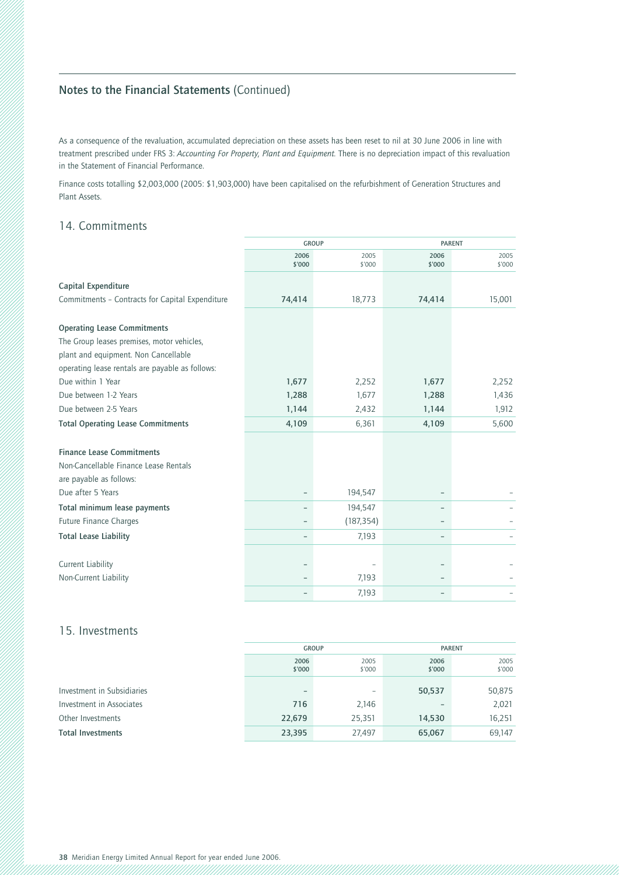As a consequence of the revaluation, accumulated depreciation on these assets has been reset to nil at 30 June 2006 in line with treatment prescribed under FRS 3: *Accounting For Property, Plant and Equipment.* There is no depreciation impact of this revaluation in the Statement of Financial Performance.

Finance costs totalling \$2,003,000 (2005: \$1,903,000) have been capitalised on the refurbishment of Generation Structures and Plant Assets.

### 14. Commitments

|                                                 | <b>GROUP</b>             |                | <b>PARENT</b>            |                |
|-------------------------------------------------|--------------------------|----------------|--------------------------|----------------|
|                                                 | 2006<br>\$'000           | 2005<br>\$'000 | 2006<br>\$'000           | 2005<br>\$'000 |
| Capital Expenditure                             |                          |                |                          |                |
| Commitments - Contracts for Capital Expenditure | 74,414                   | 18,773         | 74,414                   | 15,001         |
| <b>Operating Lease Commitments</b>              |                          |                |                          |                |
| The Group leases premises, motor vehicles,      |                          |                |                          |                |
| plant and equipment. Non Cancellable            |                          |                |                          |                |
| operating lease rentals are payable as follows: |                          |                |                          |                |
| Due within 1 Year                               | 1,677                    | 2,252          | 1,677                    | 2,252          |
| Due between 1-2 Years                           | 1,288                    | 1,677          | 1,288                    | 1,436          |
| Due between 2-5 Years                           | 1,144                    | 2,432          | 1,144                    | 1,912          |
| <b>Total Operating Lease Commitments</b>        | 4,109                    | 6,361          | 4,109                    | 5,600          |
| <b>Finance Lease Commitments</b>                |                          |                |                          |                |
| Non-Cancellable Finance Lease Rentals           |                          |                |                          |                |
| are payable as follows:                         |                          |                |                          |                |
| Due after 5 Years                               |                          | 194,547        |                          |                |
| Total minimum lease payments                    |                          | 194,547        |                          |                |
| <b>Future Finance Charges</b>                   | -                        | (187, 354)     |                          |                |
| <b>Total Lease Liability</b>                    | $\overline{\phantom{0}}$ | 7,193          | $\overline{\phantom{a}}$ |                |
|                                                 |                          |                |                          |                |
| <b>Current Liability</b>                        | ۰                        |                |                          |                |
| Non-Current Liability                           |                          | 7,193          |                          |                |
|                                                 |                          | 7,193          |                          |                |

### 15. Investments

|                            | <b>GROUP</b>             |                | <b>PARENT</b>  |                |
|----------------------------|--------------------------|----------------|----------------|----------------|
|                            | 2006<br>\$'000           | 2005<br>\$'000 | 2006<br>\$'000 | 2005<br>\$'000 |
|                            |                          |                |                |                |
| Investment in Subsidiaries | $\overline{\phantom{0}}$ | ۰              | 50,537         | 50,875         |
| Investment in Associates   | 716                      | 2,146          |                | 2,021          |
| Other Investments          | 22,679                   | 25,351         | 14,530         | 16,251         |
| <b>Total Investments</b>   | 23,395                   | 27,497         | 65,067         | 69,147         |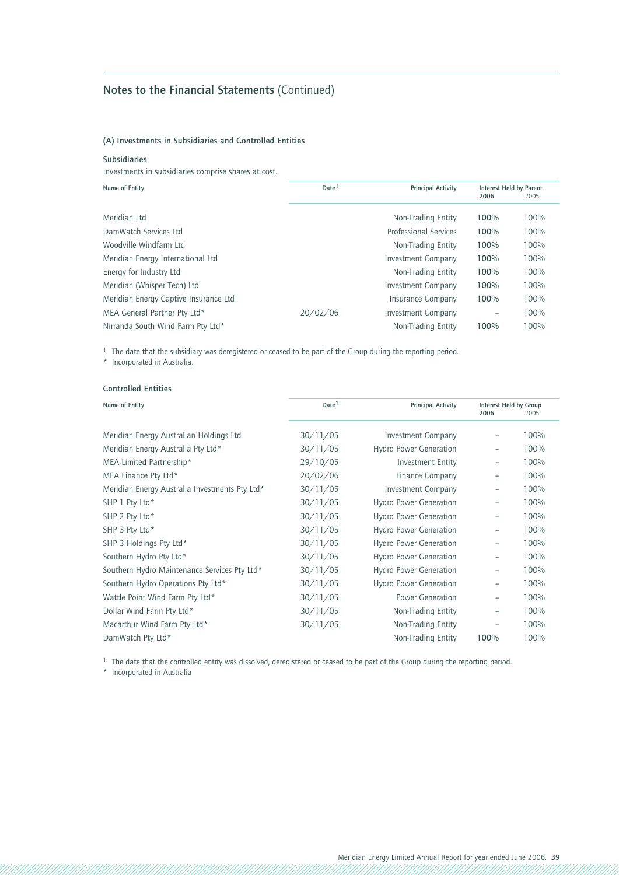### **(A) Investments in Subsidiaries and Controlled Entities**

### **Subsidiaries**

Investments in subsidiaries comprise shares at cost.

| Name of Entity                        | Date <sup>1</sup><br><b>Principal Activity</b> |                              | Interest Held by Parent<br>2006 | 2005 |
|---------------------------------------|------------------------------------------------|------------------------------|---------------------------------|------|
| Meridian Ltd                          |                                                | Non-Trading Entity           | 100%                            | 100% |
| DamWatch Services Ltd                 |                                                | <b>Professional Services</b> | 100%                            | 100% |
| Woodville Windfarm Ltd                |                                                | Non-Trading Entity           | 100%                            | 100% |
| Meridian Energy International Ltd     |                                                | <b>Investment Company</b>    | 100%                            | 100% |
| Energy for Industry Ltd               |                                                | Non-Trading Entity           | 100%                            | 100% |
| Meridian (Whisper Tech) Ltd           |                                                | <b>Investment Company</b>    | 100%                            | 100% |
| Meridian Energy Captive Insurance Ltd |                                                | <b>Insurance Company</b>     | 100%                            | 100% |
| MEA General Partner Pty Ltd*          | 20/02/06                                       | <b>Investment Company</b>    |                                 | 100% |
| Nirranda South Wind Farm Pty Ltd*     |                                                | Non-Trading Entity           | 100%                            | 100% |

<sup>1</sup> The date that the subsidiary was deregistered or ceased to be part of the Group during the reporting period.

\* Incorporated in Australia.

### **Controlled Entities**

| Name of Entity                                 | Date <sup>1</sup> | <b>Principal Activity</b>     | Interest Held by Group<br>2006 | 2005 |
|------------------------------------------------|-------------------|-------------------------------|--------------------------------|------|
| Meridian Energy Australian Holdings Ltd        | 30/11/05          | <b>Investment Company</b>     |                                | 100% |
| Meridian Energy Australia Pty Ltd*             | 30/11/05          | <b>Hydro Power Generation</b> |                                | 100% |
| MEA Limited Partnership*                       | 29/10/05          | <b>Investment Entity</b>      |                                | 100% |
| MEA Finance Pty Ltd*                           | 20/02/06          | Finance Company               |                                | 100% |
| Meridian Energy Australia Investments Pty Ltd* | 30/11/05          | <b>Investment Company</b>     |                                | 100% |
| SHP 1 Pty Ltd*                                 | 30/11/05          | <b>Hydro Power Generation</b> |                                | 100% |
| SHP 2 Pty Ltd*                                 | 30/11/05          | <b>Hydro Power Generation</b> |                                | 100% |
| SHP 3 Pty Ltd*                                 | 30/11/05          | <b>Hydro Power Generation</b> |                                | 100% |
| SHP 3 Holdings Pty Ltd*                        | 30/11/05          | <b>Hydro Power Generation</b> |                                | 100% |
| Southern Hydro Pty Ltd*                        | 30/11/05          | <b>Hydro Power Generation</b> |                                | 100% |
| Southern Hydro Maintenance Services Pty Ltd*   | 30/11/05          | <b>Hydro Power Generation</b> |                                | 100% |
| Southern Hydro Operations Pty Ltd*             | 30/11/05          | <b>Hydro Power Generation</b> | -                              | 100% |
| Wattle Point Wind Farm Pty Ltd*                | 30/11/05          | <b>Power Generation</b>       | $\overline{\phantom{0}}$       | 100% |
| Dollar Wind Farm Pty Ltd*                      | 30/11/05          | Non-Trading Entity            | $\overline{\phantom{0}}$       | 100% |
| Macarthur Wind Farm Pty Ltd*                   | 30/11/05          | Non-Trading Entity            |                                | 100% |
| DamWatch Pty Ltd*                              |                   | Non-Trading Entity            | 100%                           | 100% |

<sup>1</sup> The date that the controlled entity was dissolved, deregistered or ceased to be part of the Group during the reporting period.

\* Incorporated in Australia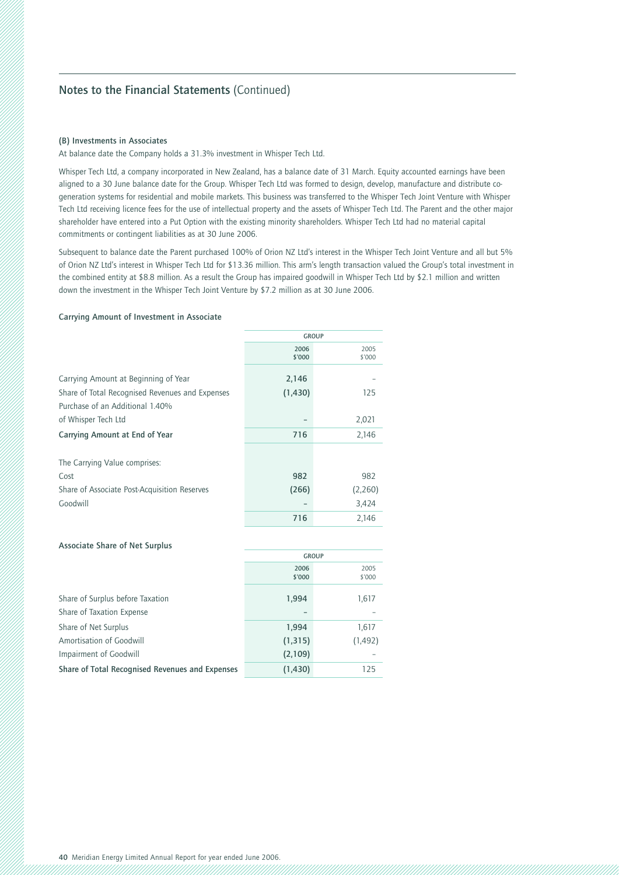### **(B) Investments in Associates**

At balance date the Company holds a 31.3% investment in Whisper Tech Ltd.

Whisper Tech Ltd, a company incorporated in New Zealand, has a balance date of 31 March. Equity accounted earnings have been aligned to a 30 June balance date for the Group. Whisper Tech Ltd was formed to design, develop, manufacture and distribute cogeneration systems for residential and mobile markets. This business was transferred to the Whisper Tech Joint Venture with Whisper Tech Ltd receiving licence fees for the use of intellectual property and the assets of Whisper Tech Ltd. The Parent and the other major shareholder have entered into a Put Option with the existing minority shareholders. Whisper Tech Ltd had no material capital commitments or contingent liabilities as at 30 June 2006.

Subsequent to balance date the Parent purchased 100% of Orion NZ Ltd's interest in the Whisper Tech Joint Venture and all but 5% of Orion NZ Ltd's interest in Whisper Tech Ltd for \$13.36 million. This arm's length transaction valued the Group's total investment in the combined entity at \$8.8 million. As a result the Group has impaired goodwill in Whisper Tech Ltd by \$2.1 million and written down the investment in the Whisper Tech Joint Venture by \$7.2 million as at 30 June 2006.

#### **Carrying Amount of Investment in Associate**

|                                                                                    | <b>GROUP</b>   |                |  |
|------------------------------------------------------------------------------------|----------------|----------------|--|
|                                                                                    | 2006<br>\$'000 | 2005<br>\$'000 |  |
| Carrying Amount at Beginning of Year                                               | 2,146          |                |  |
| Share of Total Recognised Revenues and Expenses<br>Purchase of an Additional 1.40% | (1,430)        | 125            |  |
| of Whisper Tech Ltd                                                                |                | 2,021          |  |
| Carrying Amount at End of Year                                                     | 716            | 2,146          |  |
| The Carrying Value comprises:                                                      |                |                |  |
| Cost                                                                               | 982            | 982            |  |
| Share of Associate Post-Acquisition Reserves                                       | (266)          | (2,260)        |  |
| Goodwill                                                                           |                | 3,424          |  |
|                                                                                    | 716            | 2.146          |  |

### **Associate Share of Net Surplus**

|                                                 | <b>GROUP</b>   |                |  |
|-------------------------------------------------|----------------|----------------|--|
|                                                 | 2006<br>\$'000 | 2005<br>\$'000 |  |
| Share of Surplus before Taxation                | 1,994          | 1,617          |  |
| Share of Taxation Expense                       |                |                |  |
| Share of Net Surplus                            | 1,994          | 1,617          |  |
| Amortisation of Goodwill                        | (1, 315)       | (1, 492)       |  |
| Impairment of Goodwill                          | (2,109)        |                |  |
| Share of Total Recognised Revenues and Expenses | (1,430)        | 125            |  |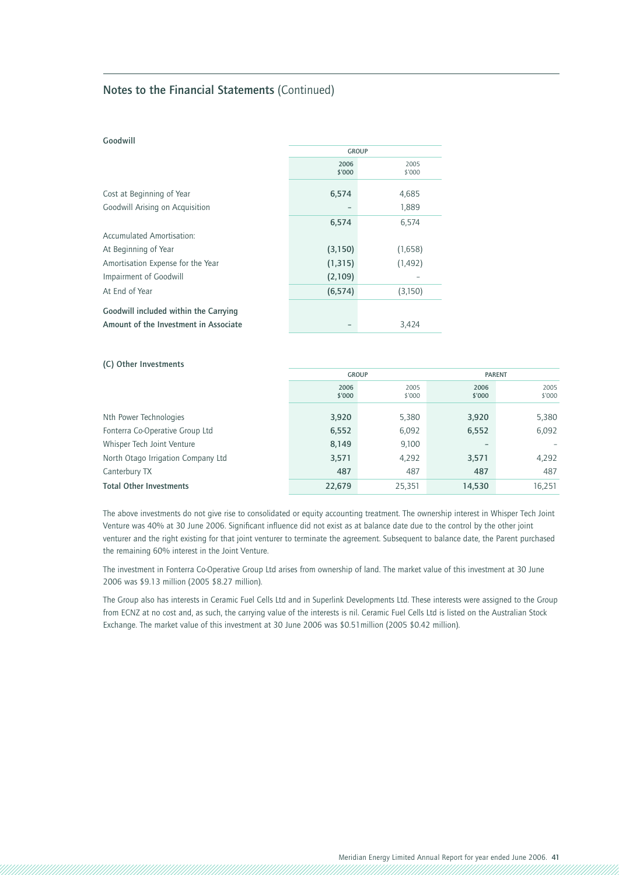### **Goodwill**

|                                       | <b>GROUP</b>   |                |  |
|---------------------------------------|----------------|----------------|--|
|                                       | 2006<br>\$'000 | 2005<br>\$'000 |  |
| Cost at Beginning of Year             | 6,574          | 4,685          |  |
| Goodwill Arising on Acquisition       |                | 1,889          |  |
|                                       | 6,574          | 6,574          |  |
| Accumulated Amortisation:             |                |                |  |
| At Beginning of Year                  | (3, 150)       | (1,658)        |  |
| Amortisation Expense for the Year     | (1, 315)       | (1,492)        |  |
| <b>Impairment of Goodwill</b>         | (2,109)        |                |  |
| At End of Year                        | (6, 574)       | (3,150)        |  |
| Goodwill included within the Carrying |                |                |  |
| Amount of the Investment in Associate |                | 3,424          |  |

### **(C) Other Investments**

|                                    | <b>GROUP</b>   |                | <b>PARENT</b>  |                |
|------------------------------------|----------------|----------------|----------------|----------------|
|                                    | 2006<br>\$'000 | 2005<br>\$'000 | 2006<br>\$'000 | 2005<br>\$'000 |
| Nth Power Technologies             | 3,920          | 5,380          | 3,920          | 5,380          |
| Fonterra Co-Operative Group Ltd    | 6,552          | 6,092          | 6,552          | 6,092          |
| Whisper Tech Joint Venture         | 8,149          | 9,100          |                |                |
| North Otago Irrigation Company Ltd | 3,571          | 4,292          | 3,571          | 4,292          |
| Canterbury TX                      | 487            | 487            | 487            | 487            |
| <b>Total Other Investments</b>     | 22,679         | 25,351         | 14,530         | 16,251         |

The above investments do not give rise to consolidated or equity accounting treatment. The ownership interest in Whisper Tech Joint Venture was 40% at 30 June 2006. Significant influence did not exist as at balance date due to the control by the other joint venturer and the right existing for that joint venturer to terminate the agreement. Subsequent to balance date, the Parent purchased the remaining 60% interest in the Joint Venture.

The investment in Fonterra Co-Operative Group Ltd arises from ownership of land. The market value of this investment at 30 June 2006 was \$9.13 million (2005 \$8.27 million).

The Group also has interests in Ceramic Fuel Cells Ltd and in Superlink Developments Ltd. These interests were assigned to the Group from ECNZ at no cost and, as such, the carrying value of the interests is nil. Ceramic Fuel Cells Ltd is listed on the Australian Stock Exchange. The market value of this investment at 30 June 2006 was \$0.51million (2005 \$0.42 million).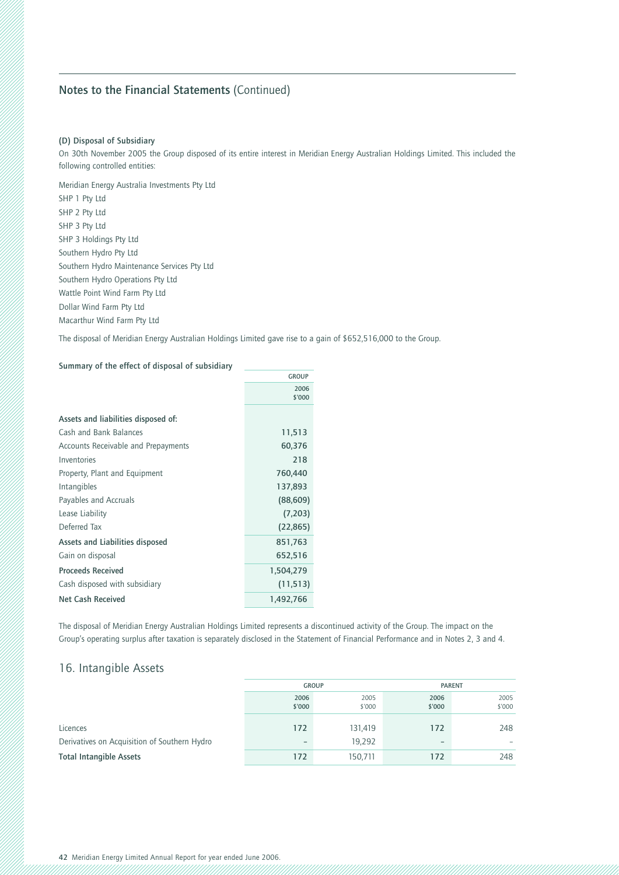### **(D) Disposal of Subsidiary**

On 30th November 2005 the Group disposed of its entire interest in Meridian Energy Australian Holdings Limited. This included the following controlled entities:

Meridian Energy Australia Investments Pty Ltd SHP 1 Pty Ltd SHP 2 Pty Ltd SHP 3 Pty Ltd SHP 3 Holdings Pty Ltd Southern Hydro Pty Ltd Southern Hydro Maintenance Services Pty Ltd Southern Hydro Operations Pty Ltd Wattle Point Wind Farm Pty Ltd Dollar Wind Farm Pty Ltd Macarthur Wind Farm Pty Ltd

The disposal of Meridian Energy Australian Holdings Limited gave rise to a gain of \$652,516,000 to the Group.

### **Summary of the effect of disposal of subsidiary**

|                                     | <b>GROUP</b>   |
|-------------------------------------|----------------|
|                                     | 2006<br>\$'000 |
| Assets and liabilities disposed of: |                |
| Cash and Bank Balances              | 11,513         |
| Accounts Receivable and Prepayments | 60,376         |
| Inventories                         | 218            |
| Property, Plant and Equipment       | 760,440        |
| Intangibles                         | 137,893        |
| Payables and Accruals               | (88, 609)      |
| Lease Liability                     | (7,203)        |
| Deferred Tax                        | (22, 865)      |
| Assets and Liabilities disposed     | 851,763        |
| Gain on disposal                    | 652,516        |
| <b>Proceeds Received</b>            | 1,504,279      |
| Cash disposed with subsidiary       | (11, 513)      |
| <b>Net Cash Received</b>            | 1,492,766      |

The disposal of Meridian Energy Australian Holdings Limited represents a discontinued activity of the Group. The impact on the Group's operating surplus after taxation is separately disclosed in the Statement of Financial Performance and in Notes 2, 3 and 4.

### 16. Intangible Assets

|                                              | <b>GROUP</b>             |         | <b>PARENT</b>            |        |
|----------------------------------------------|--------------------------|---------|--------------------------|--------|
|                                              | 2006                     | 2005    | 2006                     | 2005   |
|                                              | \$'000                   | \$'000  | \$'000                   | \$'000 |
| Licences                                     | 172                      | 131,419 | 172                      | 248    |
| Derivatives on Acquisition of Southern Hydro | $\overline{\phantom{a}}$ | 19,292  | $\overline{\phantom{0}}$ | -      |
| <b>Total Intangible Assets</b>               | 172                      | 150,711 | 172                      | 248    |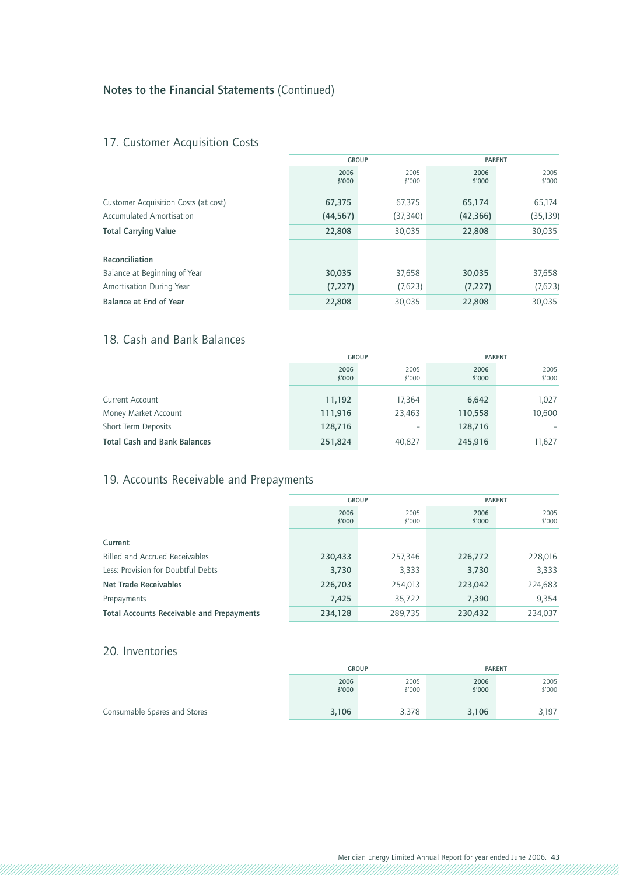## 17. Customer Acquisition Costs

|                                      | <b>GROUP</b>   |                |                | <b>PARENT</b>  |  |
|--------------------------------------|----------------|----------------|----------------|----------------|--|
|                                      | 2006<br>\$'000 | 2005<br>\$'000 | 2006<br>\$'000 | 2005<br>\$'000 |  |
| Customer Acquisition Costs (at cost) | 67,375         | 67,375         | 65,174         | 65,174         |  |
| Accumulated Amortisation             | (44, 567)      | (37, 340)      | (42, 366)      | (35, 139)      |  |
| <b>Total Carrying Value</b>          | 22,808         | 30,035         | 22,808         | 30,035         |  |
| Reconciliation                       |                |                |                |                |  |
| Balance at Beginning of Year         | 30,035         | 37,658         | 30,035         | 37,658         |  |
| Amortisation During Year             | (7, 227)       | (7,623)        | (7, 227)       | (7,623)        |  |
| <b>Balance at End of Year</b>        | 22,808         | 30,035         | 22,808         | 30,035         |  |

# 18. Cash and Bank Balances

|                                     | <b>GROUP</b>   |                | <b>PARENT</b>  |                |
|-------------------------------------|----------------|----------------|----------------|----------------|
|                                     | 2006<br>\$'000 | 2005<br>\$'000 | 2006<br>\$'000 | 2005<br>\$'000 |
|                                     |                |                |                |                |
| Current Account                     | 11,192         | 17,364         | 6,642          | 1,027          |
| Money Market Account                | 111,916        | 23,463         | 110,558        | 10,600         |
| Short Term Deposits                 | 128,716        | -              | 128,716        |                |
| <b>Total Cash and Bank Balances</b> | 251,824        | 40,827         | 245,916        | 11,627         |

# 19. Accounts Receivable and Prepayments

|                                                  | <b>GROUP</b>   |                | <b>PARENT</b>  |                |  |
|--------------------------------------------------|----------------|----------------|----------------|----------------|--|
|                                                  | 2006<br>\$'000 | 2005<br>\$'000 | 2006<br>\$'000 | 2005<br>\$'000 |  |
| Current                                          |                |                |                |                |  |
| Billed and Accrued Receivables                   | 230,433        | 257,346        | 226,772        | 228,016        |  |
| Less: Provision for Doubtful Debts               | 3,730          | 3,333          | 3,730          | 3,333          |  |
| <b>Net Trade Receivables</b>                     | 226,703        | 254,013        | 223,042        | 224,683        |  |
| Prepayments                                      | 7,425          | 35,722         | 7,390          | 9,354          |  |
| <b>Total Accounts Receivable and Prepayments</b> | 234,128        | 289,735        | 230,432        | 234,037        |  |

### 20. Inventories

|                              | <b>GROUP</b>   |                | <b>PARENT</b>  |                |  |
|------------------------------|----------------|----------------|----------------|----------------|--|
|                              | 2006<br>\$'000 | 2005<br>\$'000 | 2006<br>\$'000 | 2005<br>\$'000 |  |
| Consumable Spares and Stores | 3,106          | 3,378          | 3,106          | 3,197          |  |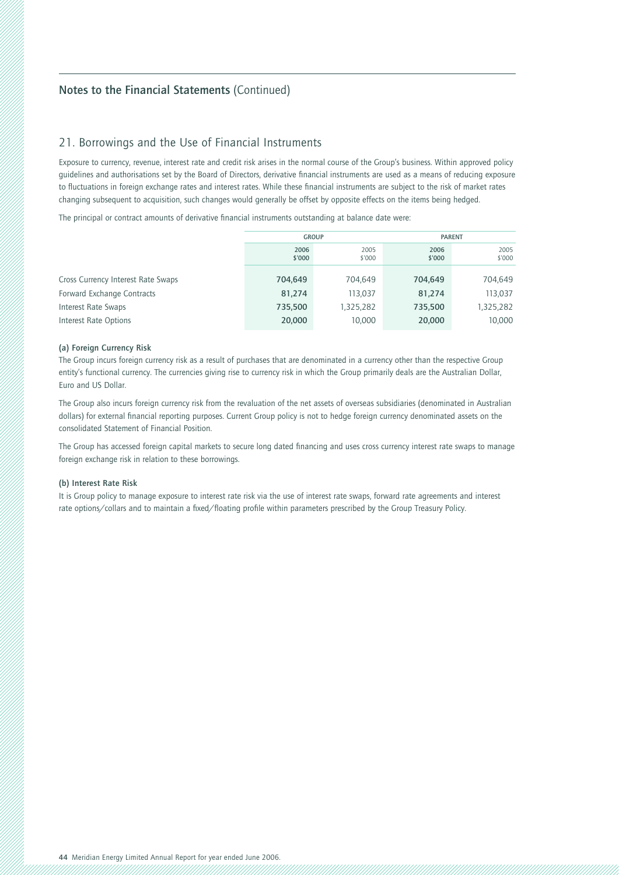### 21. Borrowings and the Use of Financial Instruments

Exposure to currency, revenue, interest rate and credit risk arises in the normal course of the Group's business. Within approved policy quidelines and authorisations set by the Board of Directors, derivative financial instruments are used as a means of reducing exposure to fluctuations in foreign exchange rates and interest rates. While these financial instruments are subject to the risk of market rates changing subsequent to acquisition, such changes would generally be offset by opposite effects on the items being hedged.

The principal or contract amounts of derivative financial instruments outstanding at balance date were:

|                                    | <b>GROUP</b>                     |           | <b>PARENT</b>  |           |  |  |
|------------------------------------|----------------------------------|-----------|----------------|-----------|--|--|
|                                    | 2006<br>2005<br>\$'000<br>\$'000 |           | 2006<br>\$'000 |           |  |  |
|                                    |                                  |           |                |           |  |  |
| Cross Currency Interest Rate Swaps | 704.649                          | 704.649   | 704.649        | 704,649   |  |  |
| Forward Exchange Contracts         | 81,274                           | 113.037   | 81,274         | 113,037   |  |  |
| Interest Rate Swaps                | 735,500                          | 1,325,282 | 735,500        | 1,325,282 |  |  |
| Interest Rate Options              | 20,000                           | 10,000    | 20,000         | 10,000    |  |  |

### **(a) Foreign Currency Risk**

The Group incurs foreign currency risk as a result of purchases that are denominated in a currency other than the respective Group entity's functional currency. The currencies giving rise to currency risk in which the Group primarily deals are the Australian Dollar, Euro and US Dollar.

The Group also incurs foreign currency risk from the revaluation of the net assets of overseas subsidiaries (denominated in Australian dollars) for external financial reporting purposes. Current Group policy is not to hedge foreign currency denominated assets on the consolidated Statement of Financial Position.

The Group has accessed foreign capital markets to secure long dated financing and uses cross currency interest rate swaps to manage foreign exchange risk in relation to these borrowings.

### **(b) Interest Rate Risk**

It is Group policy to manage exposure to interest rate risk via the use of interest rate swaps, forward rate agreements and interest rate options/collars and to maintain a fixed/floating profile within parameters prescribed by the Group Treasury Policy.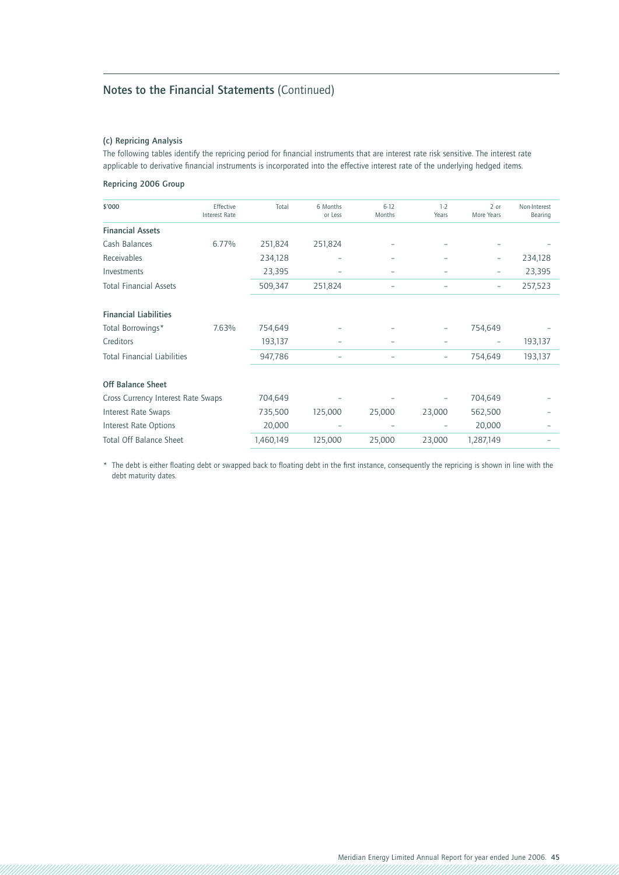### **(c) Repricing Analysis**

The following tables identify the repricing period for financial instruments that are interest rate risk sensitive. The interest rate applicable to derivative financial instruments is incorporated into the effective interest rate of the underlying hedged items.

### **Repricing 2006 Group**

| \$'000                             | Effective<br><b>Interest Rate</b> | Total     | 6 Months<br>or Less | $6 - 12$<br>Months | $1-2$<br>Years | 2 or<br>More Years | Non-Interest<br>Bearing |
|------------------------------------|-----------------------------------|-----------|---------------------|--------------------|----------------|--------------------|-------------------------|
| <b>Financial Assets</b>            |                                   |           |                     |                    |                |                    |                         |
| Cash Balances                      | 6.77%                             | 251,824   | 251,824             |                    |                |                    |                         |
| Receivables                        |                                   | 234,128   |                     |                    |                |                    | 234,128                 |
| Investments                        |                                   | 23,395    |                     |                    |                |                    | 23,395                  |
| <b>Total Financial Assets</b>      |                                   | 509,347   | 251,824             | -                  |                | $\overline{a}$     | 257,523                 |
| <b>Financial Liabilities</b>       |                                   |           |                     |                    |                |                    |                         |
| Total Borrowings*                  | 7.63%                             | 754,649   |                     |                    |                | 754,649            |                         |
| Creditors                          |                                   | 193,137   |                     |                    |                |                    | 193,137                 |
| <b>Total Financial Liabilities</b> |                                   | 947,786   |                     |                    |                | 754,649            | 193,137                 |
| <b>Off Balance Sheet</b>           |                                   |           |                     |                    |                |                    |                         |
| Cross Currency Interest Rate Swaps |                                   | 704,649   |                     |                    |                | 704,649            |                         |
| <b>Interest Rate Swaps</b>         |                                   | 735,500   | 125,000             | 25,000             | 23,000         | 562,500            |                         |
| Interest Rate Options              |                                   | 20,000    | -                   | ۰                  |                | 20,000             |                         |
| <b>Total Off Balance Sheet</b>     |                                   | 1,460,149 | 125,000             | 25,000             | 23,000         | 1,287,149          |                         |

\* The debt is either floating debt or swapped back to floating debt in the first instance, consequently the repricing is shown in line with the debt maturity dates.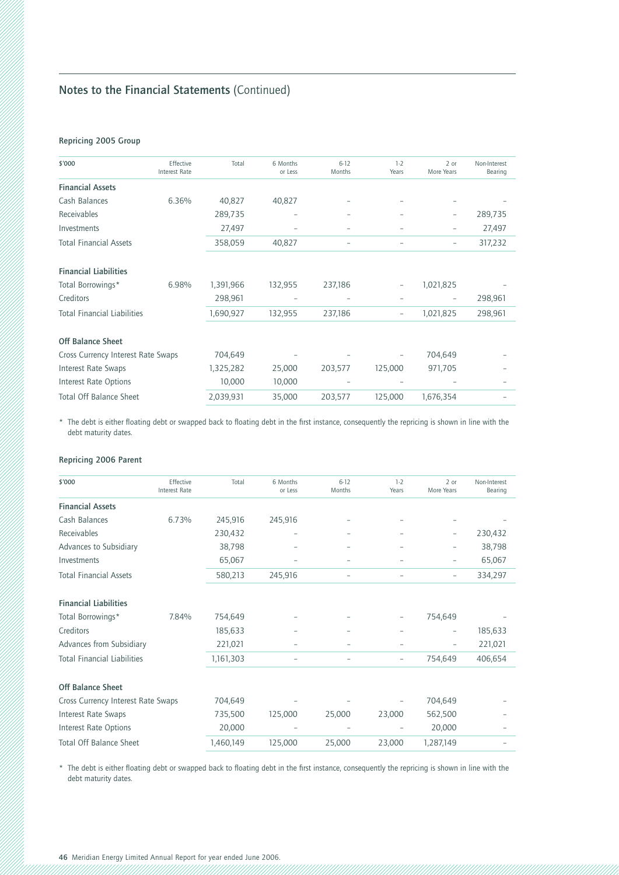### **Repricing 2005 Group**

| \$'000                             | Effective<br><b>Interest Rate</b> | Total     | 6 Months<br>or Less | $6 - 12$<br>Months | $1-2$<br>Years           | $2$ or<br>More Years | Non-Interest<br>Bearing |
|------------------------------------|-----------------------------------|-----------|---------------------|--------------------|--------------------------|----------------------|-------------------------|
| <b>Financial Assets</b>            |                                   |           |                     |                    |                          |                      |                         |
| Cash Balances                      | 6.36%                             | 40,827    | 40,827              |                    |                          |                      |                         |
| Receivables                        |                                   | 289,735   | -                   |                    |                          |                      | 289,735                 |
| Investments                        |                                   | 27,497    |                     |                    |                          | -                    | 27,497                  |
| <b>Total Financial Assets</b>      |                                   | 358,059   | 40,827              |                    | $\overline{a}$           | -                    | 317,232                 |
| <b>Financial Liabilities</b>       |                                   |           |                     |                    |                          |                      |                         |
| Total Borrowings*                  | 6.98%                             | 1,391,966 | 132,955             | 237,186            | $\overline{\phantom{0}}$ | 1,021,825            |                         |
| Creditors                          |                                   | 298,961   |                     |                    |                          |                      | 298,961                 |
| <b>Total Financial Liabilities</b> |                                   | 1,690,927 | 132,955             | 237,186            | -                        | 1,021,825            | 298,961                 |
| <b>Off Balance Sheet</b>           |                                   |           |                     |                    |                          |                      |                         |
| Cross Currency Interest Rate Swaps |                                   | 704,649   |                     |                    |                          | 704,649              |                         |
| Interest Rate Swaps                |                                   | 1,325,282 | 25,000              | 203,577            | 125,000                  | 971,705              |                         |
| Interest Rate Options              |                                   | 10,000    | 10,000              |                    |                          |                      |                         |
| <b>Total Off Balance Sheet</b>     |                                   | 2,039,931 | 35,000              | 203,577            | 125,000                  | 1,676,354            |                         |

\* The debt is either floating debt or swapped back to floating debt in the first instance, consequently the repricing is shown in line with the debt maturity dates.

### **Repricing 2006 Parent**

| \$'000                             | Effective<br><b>Interest Rate</b> | Total     | 6 Months<br>or Less | $6 - 12$<br>Months       | $1-2$<br>Years           | 2 or<br>More Years       | Non-Interest<br>Bearing |
|------------------------------------|-----------------------------------|-----------|---------------------|--------------------------|--------------------------|--------------------------|-------------------------|
| <b>Financial Assets</b>            |                                   |           |                     |                          |                          |                          |                         |
| Cash Balances                      | 6.73%                             | 245,916   | 245,916             |                          |                          |                          |                         |
| Receivables                        |                                   | 230,432   |                     |                          |                          |                          | 230,432                 |
| Advances to Subsidiary             |                                   | 38,798    |                     |                          |                          | -                        | 38,798                  |
| Investments                        |                                   | 65,067    |                     |                          |                          |                          | 65,067                  |
| <b>Total Financial Assets</b>      |                                   | 580,213   | 245,916             |                          | $\overline{\phantom{0}}$ | $\overline{\phantom{0}}$ | 334,297                 |
| <b>Financial Liabilities</b>       |                                   |           |                     |                          |                          |                          |                         |
| Total Borrowings*                  | 7.84%                             | 754,649   |                     |                          | -                        | 754,649                  |                         |
| Creditors                          |                                   | 185,633   |                     |                          |                          |                          | 185,633                 |
| Advances from Subsidiary           |                                   | 221,021   |                     |                          |                          | $\overline{\phantom{0}}$ | 221,021                 |
| <b>Total Financial Liabilities</b> |                                   | 1,161,303 | -                   | $\overline{\phantom{a}}$ | -                        | 754,649                  | 406,654                 |
| <b>Off Balance Sheet</b>           |                                   |           |                     |                          |                          |                          |                         |
| Cross Currency Interest Rate Swaps |                                   | 704,649   |                     |                          |                          | 704,649                  |                         |
| Interest Rate Swaps                |                                   | 735,500   | 125,000             | 25,000                   | 23,000                   | 562,500                  |                         |
| Interest Rate Options              |                                   | 20,000    |                     |                          |                          | 20,000                   |                         |
| <b>Total Off Balance Sheet</b>     |                                   | 1,460,149 | 125,000             | 25,000                   | 23,000                   | 1,287,149                |                         |

\* The debt is either floating debt or swapped back to floating debt in the first instance, consequently the repricing is shown in line with the debt maturity dates.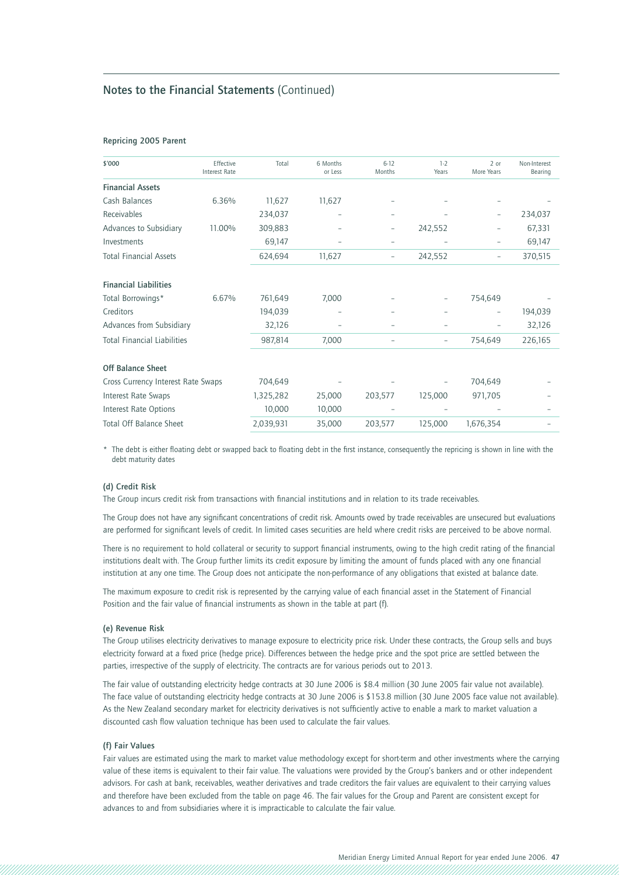### **Repricing 2005 Parent**

| \$'000                             | Effective<br><b>Interest Rate</b> | Total     | 6 Months<br>or Less | $6 - 12$<br>Months       | $1-2$<br>Years | 2 or<br>More Years | Non-Interest<br>Bearing |
|------------------------------------|-----------------------------------|-----------|---------------------|--------------------------|----------------|--------------------|-------------------------|
| <b>Financial Assets</b>            |                                   |           |                     |                          |                |                    |                         |
| Cash Balances                      | 6.36%                             | 11,627    | 11,627              |                          |                |                    |                         |
| Receivables                        |                                   | 234,037   |                     | -                        |                |                    | 234,037                 |
| Advances to Subsidiary             | 11.00%                            | 309,883   |                     | $\overline{a}$           | 242,552        |                    | 67,331                  |
| Investments                        |                                   | 69,147    |                     | $\overline{a}$           |                |                    | 69,147                  |
| <b>Total Financial Assets</b>      |                                   | 624,694   | 11,627              | $\overline{\phantom{0}}$ | 242,552        | ۰                  | 370,515                 |
| <b>Financial Liabilities</b>       |                                   |           |                     |                          |                |                    |                         |
| Total Borrowings*                  | 6.67%                             | 761,649   | 7,000               |                          |                | 754,649            |                         |
| Creditors                          |                                   | 194,039   |                     |                          |                | ٠                  | 194,039                 |
| Advances from Subsidiary           |                                   | 32,126    |                     |                          |                |                    | 32,126                  |
| <b>Total Financial Liabilities</b> |                                   | 987,814   | 7,000               | $\overline{\phantom{0}}$ |                | 754,649            | 226,165                 |
| <b>Off Balance Sheet</b>           |                                   |           |                     |                          |                |                    |                         |
| Cross Currency Interest Rate Swaps |                                   | 704,649   |                     |                          |                | 704,649            |                         |
| Interest Rate Swaps                |                                   | 1,325,282 | 25,000              | 203,577                  | 125,000        | 971,705            |                         |
| Interest Rate Options              |                                   | 10,000    | 10,000              |                          |                |                    |                         |
| <b>Total Off Balance Sheet</b>     |                                   | 2,039,931 | 35,000              | 203,577                  | 125,000        | 1,676,354          |                         |

\* The debt is either floating debt or swapped back to floating debt in the first instance, consequently the repricing is shown in line with the debt maturity dates

### **(d) Credit Risk**

The Group incurs credit risk from transactions with financial institutions and in relation to its trade receivables.

The Group does not have any significant concentrations of credit risk. Amounts owed by trade receivables are unsecured but evaluations are performed for significant levels of credit. In limited cases securities are held where credit risks are perceived to be above normal.

There is no requirement to hold collateral or security to support financial instruments, owing to the high credit rating of the financial institutions dealt with. The Group further limits its credit exposure by limiting the amount of funds placed with any one financial institution at any one time. The Group does not anticipate the non-performance of any obligations that existed at balance date.

The maximum exposure to credit risk is represented by the carrying value of each financial asset in the Statement of Financial Position and the fair value of financial instruments as shown in the table at part (f).

#### **(e) Revenue Risk**

The Group utilises electricity derivatives to manage exposure to electricity price risk. Under these contracts, the Group sells and buys electricity forward at a fixed price (hedge price). Differences between the hedge price and the spot price are settled between the parties, irrespective of the supply of electricity. The contracts are for various periods out to 2013.

The fair value of outstanding electricity hedge contracts at 30 June 2006 is \$8.4 million (30 June 2005 fair value not available). The face value of outstanding electricity hedge contracts at 30 June 2006 is \$153.8 million (30 June 2005 face value not available). As the New Zealand secondary market for electricity derivatives is not sufficiently active to enable a mark to market valuation a discounted cash flow valuation technique has been used to calculate the fair values.

#### **(f) Fair Values**

Fair values are estimated using the mark to market value methodology except for short-term and other investments where the carrying value of these items is equivalent to their fair value. The valuations were provided by the Group's bankers and or other independent advisors. For cash at bank, receivables, weather derivatives and trade creditors the fair values are equivalent to their carrying values and therefore have been excluded from the table on page 46. The fair values for the Group and Parent are consistent except for advances to and from subsidiaries where it is impracticable to calculate the fair value.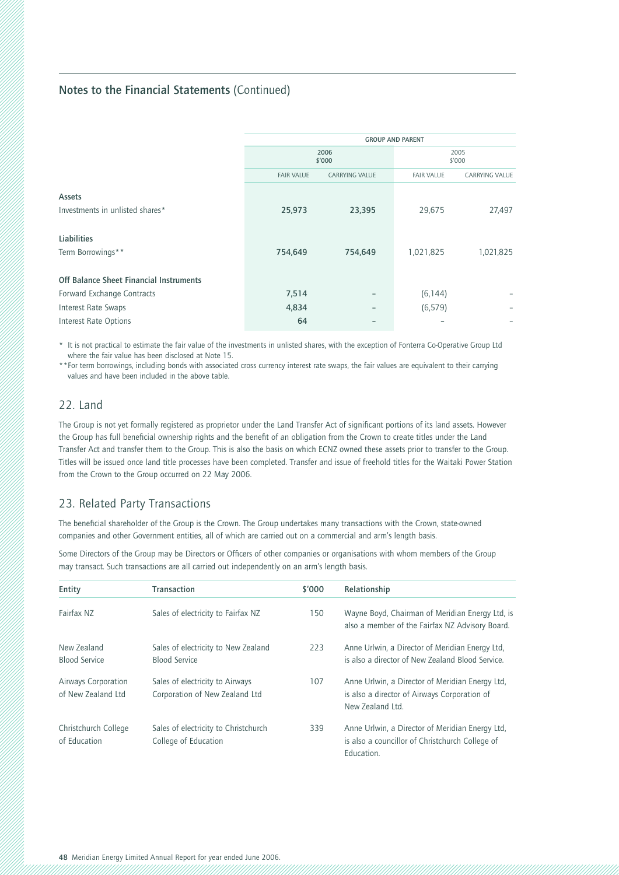|                                                | <b>GROUP AND PARENT</b> |                       |                   |                |  |  |
|------------------------------------------------|-------------------------|-----------------------|-------------------|----------------|--|--|
|                                                | 2006<br>\$'000          |                       |                   | 2005<br>\$'000 |  |  |
|                                                | <b>FAIR VALUE</b>       | <b>CARRYING VALUE</b> | <b>FAIR VALUE</b> | CARRYING VALUE |  |  |
| <b>Assets</b>                                  |                         |                       |                   |                |  |  |
| Investments in unlisted shares*                | 25,973                  | 23,395                | 29,675            | 27,497         |  |  |
| Liabilities                                    |                         |                       |                   |                |  |  |
| Term Borrowings**                              | 754,649                 | 754,649               | 1,021,825         | 1,021,825      |  |  |
| <b>Off Balance Sheet Financial Instruments</b> |                         |                       |                   |                |  |  |
| Forward Exchange Contracts                     | 7,514                   |                       | (6, 144)          |                |  |  |
| Interest Rate Swaps                            | 4,834                   |                       | (6, 579)          |                |  |  |
| Interest Rate Options                          | 64                      |                       |                   |                |  |  |

\* It is not practical to estimate the fair value of the investments in unlisted shares, with the exception of Fonterra Co-Operative Group Ltd where the fair value has been disclosed at Note 15.

\*\*For term borrowings, including bonds with associated cross currency interest rate swaps, the fair values are equivalent to their carrying values and have been included in the above table.

### 22. Land

The Group is not yet formally registered as proprietor under the Land Transfer Act of significant portions of its land assets. However the Group has full beneficial ownership rights and the benefit of an obligation from the Crown to create titles under the Land Transfer Act and transfer them to the Group. This is also the basis on which ECNZ owned these assets prior to transfer to the Group. Titles will be issued once land title processes have been completed. Transfer and issue of freehold titles for the Waitaki Power Station from the Crown to the Group occurred on 22 May 2006.

### 23. Related Party Transactions

The beneficial shareholder of the Group is the Crown. The Group undertakes many transactions with the Crown, state-owned companies and other Government entities, all of which are carried out on a commercial and arm's length basis.

Some Directors of the Group may be Directors or Officers of other companies or organisations with whom members of the Group may transact. Such transactions are all carried out independently on an arm's length basis.

| Entity                                    | <b>Transaction</b>                                                | \$'000 | Relationship                                                                                                        |
|-------------------------------------------|-------------------------------------------------------------------|--------|---------------------------------------------------------------------------------------------------------------------|
| Fairfax N7                                | Sales of electricity to Fairfax NZ                                | 150    | Wayne Boyd, Chairman of Meridian Energy Ltd, is<br>also a member of the Fairfax NZ Advisory Board.                  |
| New Zealand<br><b>Blood Service</b>       | Sales of electricity to New Zealand<br><b>Blood Service</b>       | 223    | Anne Urlwin, a Director of Meridian Energy Ltd,<br>is also a director of New Zealand Blood Service.                 |
| Airways Corporation<br>of New Zealand Ltd | Sales of electricity to Airways<br>Corporation of New Zealand Ltd | 107    | Anne Urlwin, a Director of Meridian Energy Ltd,<br>is also a director of Airways Corporation of<br>New Zealand Ltd. |
| Christchurch College<br>of Education      | Sales of electricity to Christchurch<br>College of Education      | 339    | Anne Urlwin, a Director of Meridian Energy Ltd.<br>is also a councillor of Christchurch College of<br>Education.    |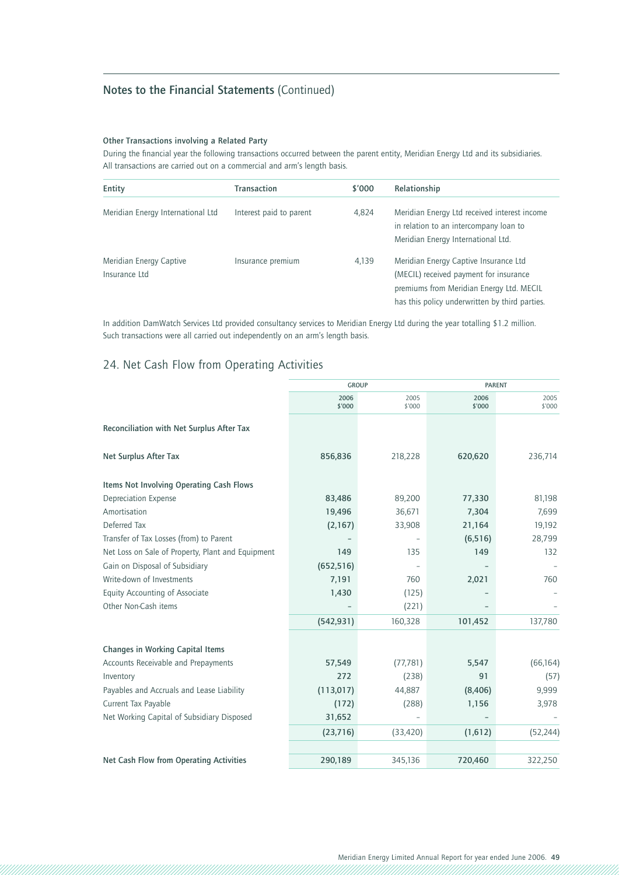### **Other Transactions involving a Related Party**

During the financial year the following transactions occurred between the parent entity, Meridian Energy Ltd and its subsidiaries. All transactions are carried out on a commercial and arm's length basis.

| Entity                                   | Transaction             | \$'000 | Relationship                                                                                                                                                                  |
|------------------------------------------|-------------------------|--------|-------------------------------------------------------------------------------------------------------------------------------------------------------------------------------|
| Meridian Energy International Ltd        | Interest paid to parent | 4,824  | Meridian Energy Ltd received interest income<br>in relation to an intercompany loan to<br>Meridian Energy International Ltd.                                                  |
| Meridian Energy Captive<br>Insurance Ltd | Insurance premium       | 4,139  | Meridian Energy Captive Insurance Ltd<br>(MECIL) received payment for insurance<br>premiums from Meridian Energy Ltd. MECIL<br>has this policy underwritten by third parties. |

In addition DamWatch Services Ltd provided consultancy services to Meridian Energy Ltd during the year totalling \$1.2 million. Such transactions were all carried out independently on an arm's length basis.

### 24. Net Cash Flow from Operating Activities

|                                                   | <b>GROUP</b>   |                |                | <b>PARENT</b>  |  |
|---------------------------------------------------|----------------|----------------|----------------|----------------|--|
|                                                   | 2006<br>\$'000 | 2005<br>\$'000 | 2006<br>\$'000 | 2005<br>\$'000 |  |
| Reconciliation with Net Surplus After Tax         |                |                |                |                |  |
| Net Surplus After Tax                             | 856,836        | 218,228        | 620,620        | 236,714        |  |
| Items Not Involving Operating Cash Flows          |                |                |                |                |  |
| <b>Depreciation Expense</b>                       | 83,486         | 89,200         | 77,330         | 81,198         |  |
| Amortisation                                      | 19,496         | 36,671         | 7,304          | 7,699          |  |
| Deferred Tax                                      | (2,167)        | 33,908         | 21,164         | 19,192         |  |
| Transfer of Tax Losses (from) to Parent           |                |                | (6, 516)       | 28,799         |  |
| Net Loss on Sale of Property, Plant and Equipment | 149            | 135            | 149            | 132            |  |
| Gain on Disposal of Subsidiary                    | (652, 516)     |                |                |                |  |
| Write-down of Investments                         | 7,191          | 760            | 2,021          | 760            |  |
| Equity Accounting of Associate                    | 1,430          | (125)          |                |                |  |
| Other Non-Cash items                              |                | (221)          |                |                |  |
|                                                   | (542, 931)     | 160,328        | 101,452        | 137,780        |  |
| <b>Changes in Working Capital Items</b>           |                |                |                |                |  |
| Accounts Receivable and Prepayments               | 57,549         | (77, 781)      | 5,547          | (66, 164)      |  |
| Inventory                                         | 272            | (238)          | 91             | (57)           |  |
| Payables and Accruals and Lease Liability         | (113,017)      | 44,887         | (8,406)        | 9,999          |  |
| Current Tax Payable                               | (172)          | (288)          | 1,156          | 3,978          |  |
| Net Working Capital of Subsidiary Disposed        | 31,652         |                |                |                |  |
|                                                   | (23, 716)      | (33, 420)      | (1,612)        | (52, 244)      |  |
|                                                   |                |                |                |                |  |
| Net Cash Flow from Operating Activities           | 290,189        | 345,136        | 720,460        | 322,250        |  |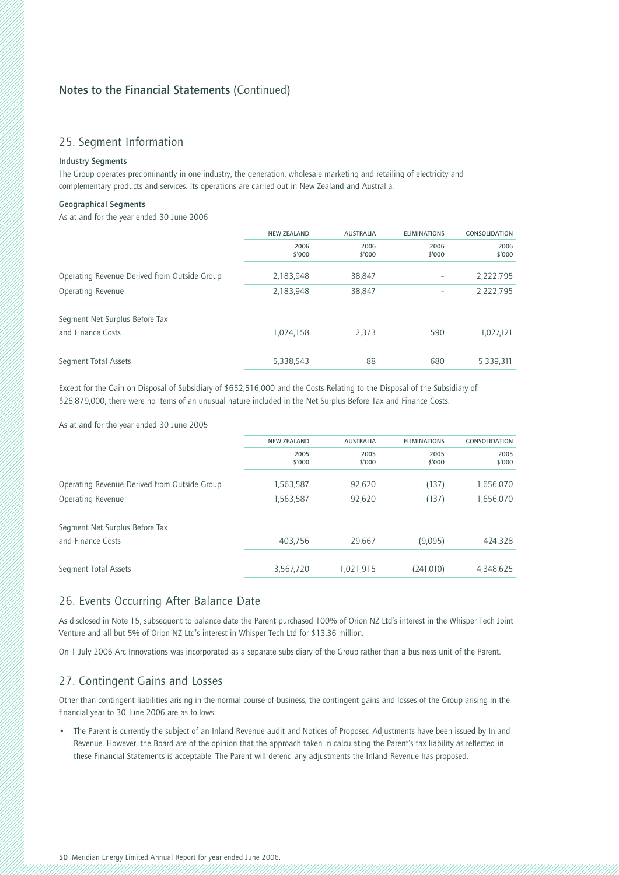### 25. Segment Information

### **Industry Segments**

The Group operates predominantly in one industry, the generation, wholesale marketing and retailing of electricity and complementary products and services. Its operations are carried out in New Zealand and Australia.

### **Geographical Segments**

As at and for the year ended 30 June 2006

|                                              | <b>NEW ZEALAND</b> | <b>AUSTRALIA</b> | <b>ELIMINATIONS</b> | <b>CONSOLIDATION</b> |
|----------------------------------------------|--------------------|------------------|---------------------|----------------------|
|                                              | 2006<br>\$'000     | 2006<br>\$'000   | 2006<br>\$'000      | 2006<br>\$'000       |
| Operating Revenue Derived from Outside Group | 2,183,948          | 38,847           |                     | 2,222,795            |
| Operating Revenue                            | 2,183,948          | 38,847           | -                   | 2,222,795            |
| Segment Net Surplus Before Tax               |                    |                  |                     |                      |
| and Finance Costs                            | 1,024,158          | 2,373            | 590                 | 1,027,121            |
|                                              |                    |                  |                     |                      |
| Segment Total Assets                         | 5,338,543          | 88               | 680                 | 5,339,311            |
|                                              |                    |                  |                     |                      |

Except for the Gain on Disposal of Subsidiary of \$652,516,000 and the Costs Relating to the Disposal of the Subsidiary of \$26,879,000, there were no items of an unusual nature included in the Net Surplus Before Tax and Finance Costs.

As at and for the year ended 30 June 2005

|                                              | <b>NEW ZEALAND</b> | <b>AUSTRALIA</b> | <b>ELIMINATIONS</b> | <b>CONSOLIDATION</b> |
|----------------------------------------------|--------------------|------------------|---------------------|----------------------|
|                                              | 2005<br>\$'000     | 2005<br>\$'000   | 2005<br>\$'000      | 2005<br>\$'000       |
|                                              |                    |                  |                     |                      |
| Operating Revenue Derived from Outside Group | 1,563,587          | 92,620           | (137)               | 1,656,070            |
| Operating Revenue                            | 1,563,587          | 92,620           | (137)               | 1,656,070            |
| Segment Net Surplus Before Tax               |                    |                  |                     |                      |
| and Finance Costs                            | 403.756            | 29.667           | (9,095)             | 424,328              |
|                                              |                    |                  |                     |                      |
| Segment Total Assets                         | 3,567,720          | 1,021,915        | (241, 010)          | 4,348,625            |
|                                              |                    |                  |                     |                      |

### 26. Events Occurring After Balance Date

As disclosed in Note 15, subsequent to balance date the Parent purchased 100% of Orion NZ Ltd's interest in the Whisper Tech Joint Venture and all but 5% of Orion NZ Ltd's interest in Whisper Tech Ltd for \$13.36 million.

On 1 July 2006 Arc Innovations was incorporated as a separate subsidiary of the Group rather than a business unit of the Parent.

### 27. Contingent Gains and Losses

Other than contingent liabilities arising in the normal course of business, the contingent gains and losses of the Group arising in the financial year to 30 June 2006 are as follows:

• The Parent is currently the subject of an Inland Revenue audit and Notices of Proposed Adjustments have been issued by Inland Revenue. However, the Board are of the opinion that the approach taken in calculating the Parent's tax liability as reflected in these Financial Statements is acceptable. The Parent will defend any adjustments the Inland Revenue has proposed.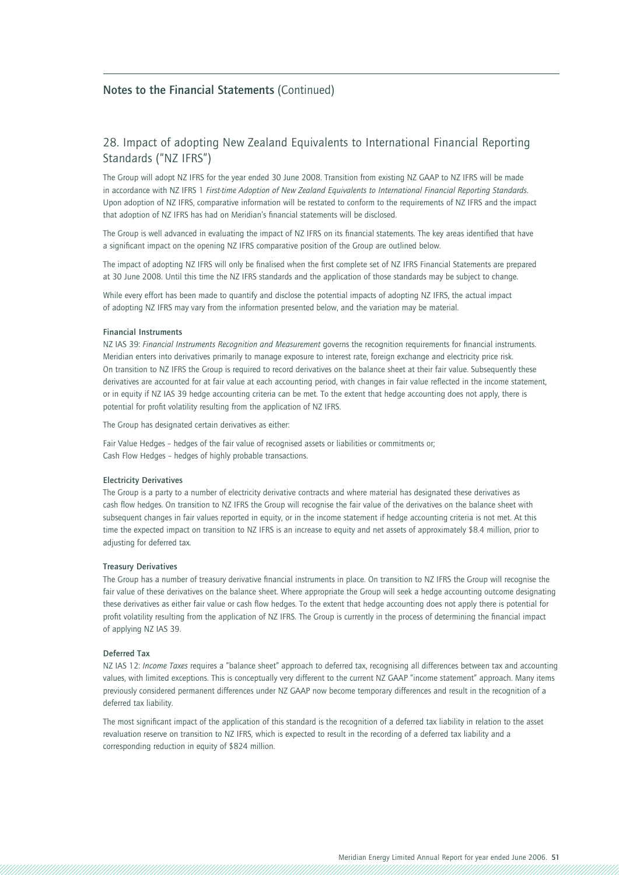### 28. Impact of adopting New Zealand Equivalents to International Financial Reporting Standards ("NZ IFRS")

The Group will adopt NZ IFRS for the year ended 30 June 2008. Transition from existing NZ GAAP to NZ IFRS will be made in accordance with NZ IFRS 1 *First-time Adoption of New Zealand Equivalents to International Financial Reporting Standards*. Upon adoption of NZ IFRS, comparative information will be restated to conform to the requirements of NZ IFRS and the impact that adoption of NZ IFRS has had on Meridian's financial statements will be disclosed.

The Group is well advanced in evaluating the impact of NZ IFRS on its financial statements. The key areas identified that have a significant impact on the opening NZ IFRS comparative position of the Group are outlined below.

The impact of adopting NZ IFRS will only be finalised when the first complete set of NZ IFRS Financial Statements are prepared at 30 June 2008. Until this time the NZ IFRS standards and the application of those standards may be subject to change.

While every effort has been made to quantify and disclose the potential impacts of adopting NZ IFRS, the actual impact of adopting NZ IFRS may vary from the information presented below, and the variation may be material.

#### **Financial Instruments**

NZ IAS 39: *Financial Instruments Recognition and Measurement* governs the recognition requirements for financial instruments. Meridian enters into derivatives primarily to manage exposure to interest rate, foreign exchange and electricity price risk. On transition to NZ IFRS the Group is required to record derivatives on the balance sheet at their fair value. Subsequently these derivatives are accounted for at fair value at each accounting period, with changes in fair value reflected in the income statement, or in equity if NZ IAS 39 hedge accounting criteria can be met. To the extent that hedge accounting does not apply, there is potential for profit volatility resulting from the application of NZ IFRS.

The Group has designated certain derivatives as either:

Fair Value Hedges – hedges of the fair value of recognised assets or liabilities or commitments or; Cash Flow Hedges – hedges of highly probable transactions.

#### **Electricity Derivatives**

The Group is a party to a number of electricity derivative contracts and where material has designated these derivatives as cash flow hedges. On transition to NZ IFRS the Group will recognise the fair value of the derivatives on the balance sheet with subsequent changes in fair values reported in equity, or in the income statement if hedge accounting criteria is not met. At this time the expected impact on transition to NZ IFRS is an increase to equity and net assets of approximately \$8.4 million, prior to adjusting for deferred tax.

### **Treasury Derivatives**

The Group has a number of treasury derivative financial instruments in place. On transition to NZ IFRS the Group will recognise the fair value of these derivatives on the balance sheet. Where appropriate the Group will seek a hedge accounting outcome designating these derivatives as either fair value or cash flow hedges. To the extent that hedge accounting does not apply there is potential for profit volatility resulting from the application of NZ IFRS. The Group is currently in the process of determining the financial impact of applying NZ IAS 39.

### **Deferred Tax**

NZ IAS 12: *Income Taxes* requires a "balance sheet" approach to deferred tax, recognising all differences between tax and accounting values, with limited exceptions. This is conceptually very different to the current NZ GAAP "income statement" approach. Many items previously considered permanent differences under NZ GAAP now become temporary differences and result in the recognition of a deferred tax liability.

The most significant impact of the application of this standard is the recognition of a deferred tax liability in relation to the asset revaluation reserve on transition to NZ IFRS, which is expected to result in the recording of a deferred tax liability and a corresponding reduction in equity of \$824 million.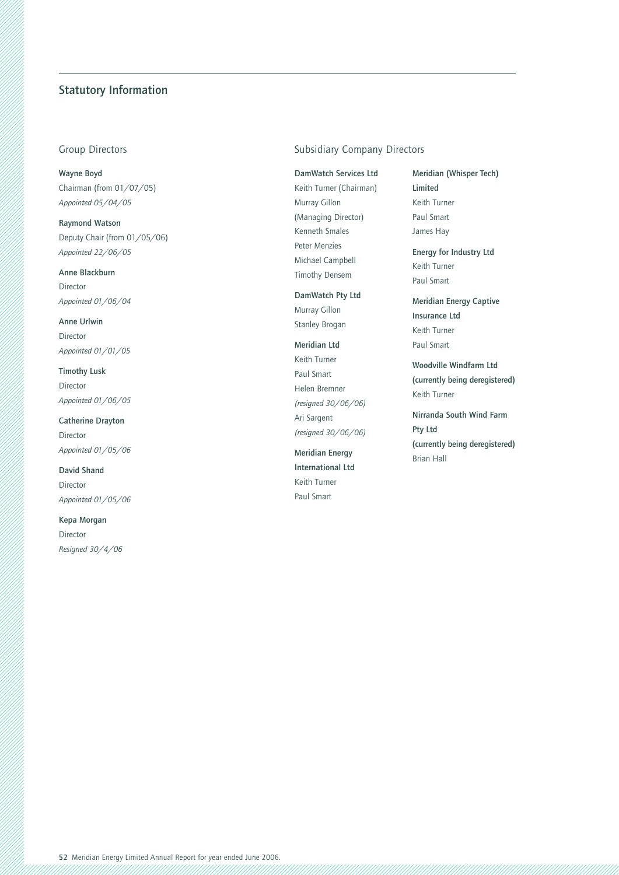### **Statutory Information**

**Wayne Boyd** Chairman (from 01/07/05) *Appointed 05/04/05*

**Raymond Watson** Deputy Chair (from 01/05/06) *Appointed 22/06/05*

**Anne Blackburn** Director *Appointed 01/06/04*

**Anne Urlwin** Director *Appointed 01/01/05*

**Timothy Lusk** Director *Appointed 01/06/05*

**Catherine Drayton** Director *Appointed 01/05/06*

**David Shand** Director *Appointed 01/05/06*

**Kepa Morgan** Director *Resigned 30/4/06*

### Group Directors **Subsidiary Company Directors** Subsidiary Company Directors

**DamWatch Services Ltd** Keith Turner (Chairman) Murray Gillon (Managing Director) Kenneth Smales Peter Menzies Michael Campbell Timothy Densem

**DamWatch Pty Ltd** Murray Gillon Stanley Brogan

**Meridian Ltd** Keith Turner Paul Smart Helen Bremner *(resigned 30/06/06)* Ari Sargent *(resigned 30/06/06)*

**Meridian Energy International Ltd** Keith Turner Paul Smart

**Meridian (Whisper Tech) Limited** Keith Turner Paul Smart James Hay

**Energy for Industry Ltd** Keith Turner Paul Smart

**Meridian Energy Captive Insurance Ltd** Keith Turner Paul Smart

**Woodville Windfarm Ltd (currently being deregistered)** Keith Turner

**Nirranda South Wind Farm Pty Ltd (currently being deregistered)** Brian Hall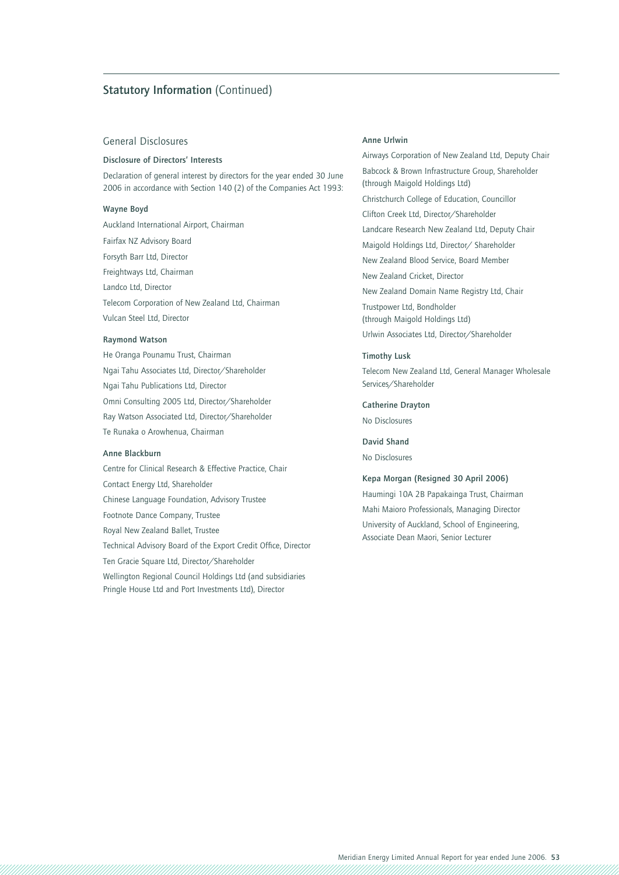### **Statutory Information** (Continued)

### General Disclosures

#### **Disclosure of Directors' Interests**

Declaration of general interest by directors for the year ended 30 June 2006 in accordance with Section 140 (2) of the Companies Act 1993:

### **Wayne Boyd**

Auckland International Airport, Chairman Fairfax NZ Advisory Board Forsyth Barr Ltd, Director Freightways Ltd, Chairman Landco Ltd, Director Telecom Corporation of New Zealand Ltd, Chairman Vulcan Steel Ltd, Director

### **Raymond Watson**

He Oranga Pounamu Trust, Chairman Ngai Tahu Associates Ltd, Director/Shareholder Ngai Tahu Publications Ltd, Director Omni Consulting 2005 Ltd, Director/Shareholder Ray Watson Associated Ltd, Director/Shareholder Te Runaka o Arowhenua, Chairman

#### **Anne Blackburn**

Centre for Clinical Research & Effective Practice, Chair Contact Energy Ltd, Shareholder Chinese Language Foundation, Advisory Trustee Footnote Dance Company, Trustee Royal New Zealand Ballet, Trustee Technical Advisory Board of the Export Credit Office, Director Ten Gracie Square Ltd, Director/Shareholder Wellington Regional Council Holdings Ltd (and subsidiaries Pringle House Ltd and Port Investments Ltd), Director

#### **Anne Urlwin**

Airways Corporation of New Zealand Ltd, Deputy Chair Babcock & Brown Infrastructure Group, Shareholder (through Maigold Holdings Ltd) Christchurch College of Education, Councillor Clifton Creek Ltd, Director/Shareholder Landcare Research New Zealand Ltd, Deputy Chair Maigold Holdings Ltd, Director/ Shareholder New Zealand Blood Service, Board Member New Zealand Cricket, Director New Zealand Domain Name Registry Ltd, Chair Trustpower Ltd, Bondholder (through Maigold Holdings Ltd) Urlwin Associates Ltd, Director/Shareholder

#### **Timothy Lusk**

Telecom New Zealand Ltd, General Manager Wholesale Services/Shareholder

### **Catherine Drayton**

No Disclosures

### **David Shand**

No Disclosures

#### **Kepa Morgan (Resigned 30 April 2006)**

Haumingi 10A 2B Papakainga Trust, Chairman Mahi Maioro Professionals, Managing Director University of Auckland, School of Engineering, Associate Dean Maori, Senior Lecturer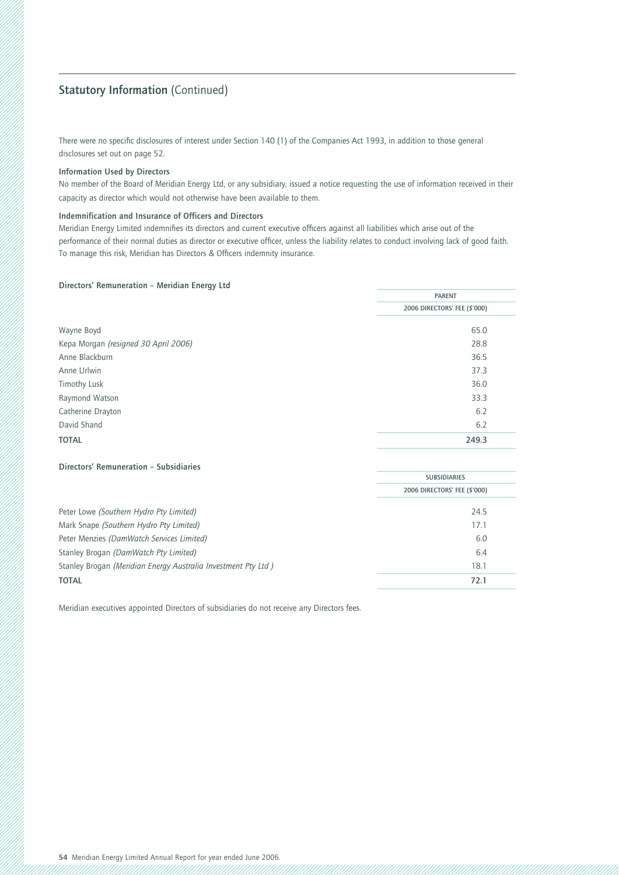### **Statutory Information (Continued)**

There were no specific disclosures of interest under Section 140 (1) of the Companies Act 1993, in addition to those general disclosures set out on page 52.

#### **Information Used by Directors**

No member of the Board of Meridian Energy Ltd, or any subsidiary, issued a notice requesting the use of information received in their capacity as director which would not otherwise have been available to them.

#### **Indemnification and Insurance of Officers and Directors**

Meridian Energy Limited indemnifies its directors and current executive officers against all liabilities which arise out of the performance of their normal duties as director or executive officer, unless the liability relates to conduct involving lack of good faith. To manage this risk, Meridian has Directors & Officers indemnity insurance.

#### **Directors' Remuneration – Meridian Energy Ltd**

|                                      | <b>PARENT</b>                |
|--------------------------------------|------------------------------|
|                                      | 2006 DIRECTORS' FEE (\$'000) |
| Wayne Boyd                           | 65.0                         |
| Kepa Morgan (resigned 30 April 2006) | 28.8                         |
| Anne Blackburn                       | 36.5                         |
| Anne Urlwin                          | 37.3                         |
| <b>Timothy Lusk</b>                  | 36.0                         |
| Raymond Watson                       | 33.3                         |
| Catherine Drayton                    | 6.2                          |
| David Shand                          | 6.2                          |
| <b>TOTAL</b>                         | 249.3                        |

#### **Directors' Remuneration – Subsidiaries**

|                                                               | <b>SUBSIDIARIES</b>          |  |
|---------------------------------------------------------------|------------------------------|--|
|                                                               | 2006 DIRECTORS' FEE (\$'000) |  |
| Peter Lowe (Southern Hydro Pty Limited)                       | 24.5                         |  |
| Mark Snape (Southern Hydro Pty Limited)                       | 17.1                         |  |
| Peter Menzies (DamWatch Services Limited)                     | 6.0                          |  |
| Stanley Brogan (DamWatch Pty Limited)                         | 6.4                          |  |
| Stanley Brogan (Meridian Energy Australia Investment Pty Ltd) | 18.1                         |  |
| <b>TOTAL</b>                                                  | 72.1                         |  |
|                                                               |                              |  |

Meridian executives appointed Directors of subsidiaries do not receive any Directors fees.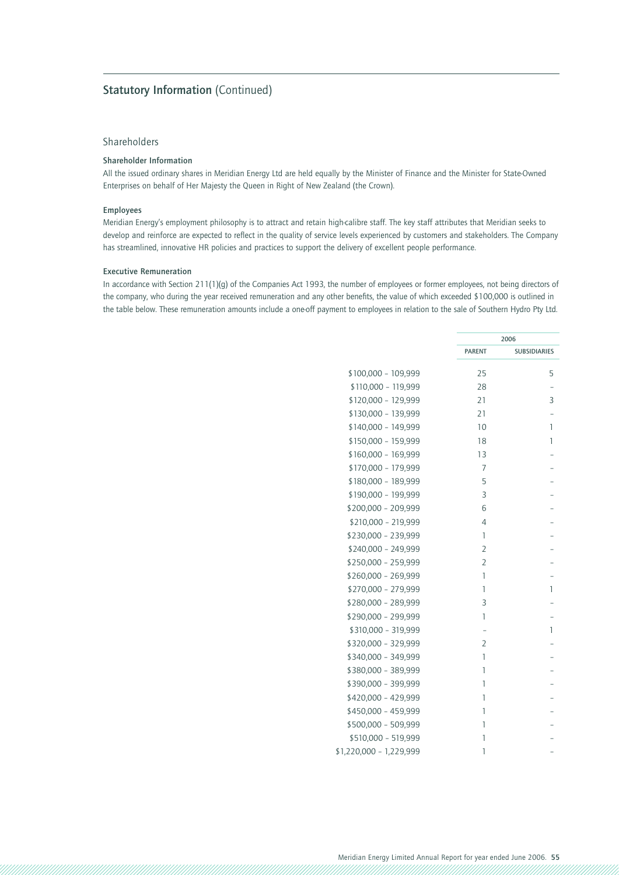### **Statutory Information (Continued)**

### Shareholders

### **Shareholder Information**

All the issued ordinary shares in Meridian Energy Ltd are held equally by the Minister of Finance and the Minister for State-Owned Enterprises on behalf of Her Majesty the Queen in Right of New Zealand (the Crown).

### **Employees**

Meridian Energy's employment philosophy is to attract and retain high-calibre staff. The key staff attributes that Meridian seeks to develop and reinforce are expected to reflect in the quality of service levels experienced by customers and stakeholders. The Company has streamlined, innovative HR policies and practices to support the delivery of excellent people performance.

#### **Executive Remuneration**

In accordance with Section 211(1)(g) of the Companies Act 1993, the number of employees or former employees, not being directors of the company, who during the year received remuneration and any other benefits, the value of which exceeded \$100,000 is outlined in the table below. These remuneration amounts include a one-off payment to employees in relation to the sale of Southern Hydro Pty Ltd.

|                         | 2006           |                     |
|-------------------------|----------------|---------------------|
|                         | <b>PARENT</b>  | <b>SUBSIDIARIES</b> |
| \$100,000 - 109,999     | 25             | 5                   |
| \$110,000 - 119,999     | 28             |                     |
| \$120,000 - 129,999     | 21             | 3                   |
| \$130,000 - 139,999     | 21             |                     |
| \$140,000 - 149,999     | 10             | 1                   |
| \$150,000 - 159,999     | 18             | 1                   |
| \$160,000 - 169,999     | 13             |                     |
| \$170,000 - 179,999     | 7              |                     |
| \$180,000 - 189,999     | 5              |                     |
| \$190,000 - 199,999     | 3              |                     |
| \$200,000 - 209,999     | 6              |                     |
| \$210,000 - 219,999     | 4              |                     |
| \$230,000 - 239,999     | 1              |                     |
| \$240,000 - 249,999     | $\overline{2}$ |                     |
| \$250,000 - 259,999     | $\overline{2}$ |                     |
| \$260,000 - 269,999     | 1              |                     |
| \$270,000 - 279,999     | 1              | 1                   |
| \$280,000 - 289,999     | 3              |                     |
| \$290,000 - 299,999     | 1              |                     |
| \$310,000 - 319,999     |                | 1                   |
| \$320,000 - 329,999     | $\overline{2}$ |                     |
| \$340,000 - 349,999     | 1              |                     |
| \$380,000 - 389,999     | 1              |                     |
| \$390,000 - 399,999     | 1              |                     |
| \$420,000 - 429,999     | 1              |                     |
| \$450,000 - 459,999     | 1              |                     |
| \$500,000 - 509,999     | 1              |                     |
| \$510,000 - 519,999     | 1              |                     |
| \$1,220,000 - 1,229,999 | 1              |                     |
|                         |                |                     |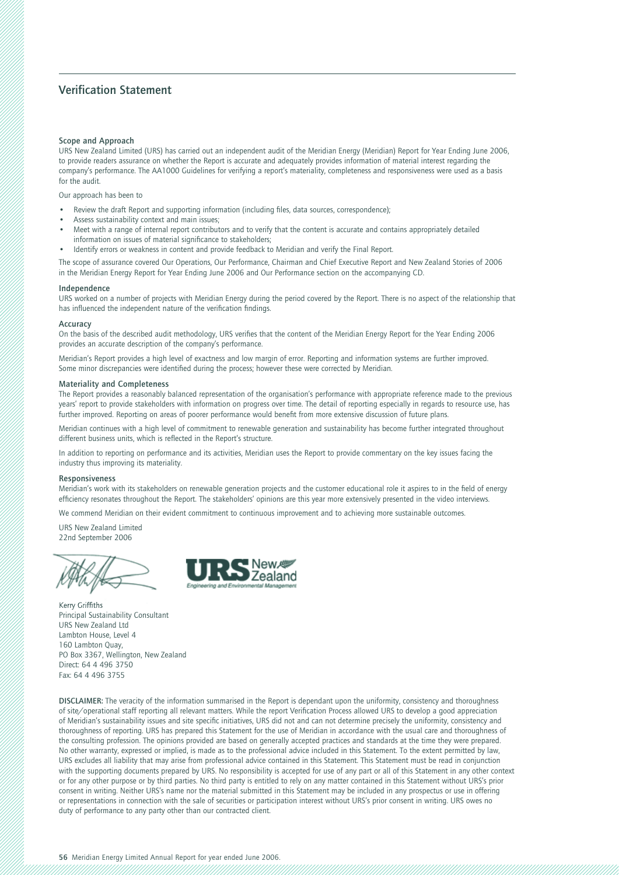### **Verification Statement**

#### **Scope and Approach**

URS New Zealand Limited (URS) has carried out an independent audit of the Meridian Energy (Meridian) Report for Year Ending June 2006, to provide readers assurance on whether the Report is accurate and adequately provides information of material interest regarding the company's performance. The AA1000 Guidelines for verifying a report's materiality, completeness and responsiveness were used as a basis for the audit.

Our approach has been to

- Review the draft Report and supporting information (including files, data sources, correspondence);
- Assess sustainability context and main issues;
- Meet with a range of internal report contributors and to verify that the content is accurate and contains appropriately detailed
- information on issues of material significance to stakeholders;
- Identify errors or weakness in content and provide feedback to Meridian and verify the Final Report.

The scope of assurance covered Our Operations, Our Performance, Chairman and Chief Executive Report and New Zealand Stories of 2006 in the Meridian Energy Report for Year Ending June 2006 and Our Performance section on the accompanying CD.

#### **Independence**

URS worked on a number of projects with Meridian Energy during the period covered by the Report. There is no aspect of the relationship that has influenced the independent nature of the verification findings.

#### **Accuracy**

On the basis of the described audit methodology, URS verifies that the content of the Meridian Energy Report for the Year Ending 2006 provides an accurate description of the company's performance.

Meridian's Report provides a high level of exactness and low margin of error. Reporting and information systems are further improved. Some minor discrepancies were identified during the process; however these were corrected by Meridian.

#### **Materiality and Completeness**

The Report provides a reasonably balanced representation of the organisation's performance with appropriate reference made to the previous years' report to provide stakeholders with information on progress over time. The detail of reporting especially in regards to resource use, has further improved. Reporting on areas of poorer performance would benefit from more extensive discussion of future plans.

Meridian continues with a high level of commitment to renewable generation and sustainability has become further integrated throughout different business units, which is reflected in the Report's structure.

In addition to reporting on performance and its activities, Meridian uses the Report to provide commentary on the key issues facing the industry thus improving its materiality.

#### **Responsiveness**

Meridian's work with its stakeholders on renewable generation projects and the customer educational role it aspires to in the field of energy efficiency resonates throughout the Report. The stakeholders' opinions are this year more extensively presented in the video interviews.

We commend Meridian on their evident commitment to continuous improvement and to achieving more sustainable outcomes.

URS New Zealand Limited 22nd September 2006





Kerry Griffiths Principal Sustainability Consultant URS New Zealand Ltd Lambton House, Level 4 160 Lambton Quay, PO Box 3367, Wellington, New Zealand Direct: 64 4 496 3750 Fax: 64 4 496 3755

**DISCLAIMER:** The veracity of the information summarised in the Report is dependant upon the uniformity, consistency and thoroughness of site/operational staff reporting all relevant matters. While the report Verification Process allowed URS to develop a good appreciation of Meridian's sustainability issues and site specific initiatives, URS did not and can not determine precisely the uniformity, consistency and thoroughness of reporting. URS has prepared this Statement for the use of Meridian in accordance with the usual care and thoroughness of the consulting profession. The opinions provided are based on generally accepted practices and standards at the time they were prepared. No other warranty, expressed or implied, is made as to the professional advice included in this Statement. To the extent permitted by law, URS excludes all liability that may arise from professional advice contained in this Statement. This Statement must be read in conjunction with the supporting documents prepared by URS. No responsibility is accepted for use of any part or all of this Statement in any other context or for any other purpose or by third parties. No third party is entitled to rely on any matter contained in this Statement without URS's prior consent in writing. Neither URS's name nor the material submitted in this Statement may be included in any prospectus or use in offering or representations in connection with the sale of securities or participation interest without URS's prior consent in writing. URS owes no duty of performance to any party other than our contracted client.